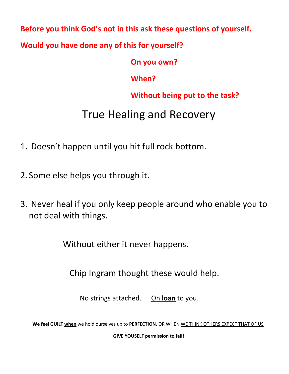**Before you think God's not in this ask these questions of yourself.**

**Would you have done any of this for yourself?**

# **On you own?**

# **When?**

**Without being put to the task?**

# True Healing and Recovery

- 1. Doesn't happen until you hit full rock bottom.
- 2. Some else helps you through it.
- 3. Never heal if you only keep people around who enable you to not deal with things.

Without either it never happens.

Chip Ingram thought these would help.

No strings attached. On **loan** to you.

**We feel GUILT when** we hold ourselves up to **PERFECTION**. OR WHEN WE THINK OTHERS EXPECT THAT OF US.

**GIVE YOUSELF permission to fail!**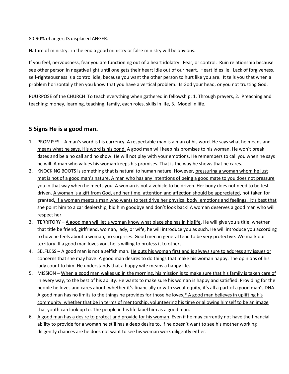80-90% of anger; IS displaced ANGER.

Nature of ministry: in the end a good ministry or false ministry will be obvious.

If you feel, nervousness, fear you are functioning out of a heart idolatry. Fear, or control. Ruin relationship because see other person in negative light until one gets their heart idle out of our heart. Heart idles lie. Lack of forgiveness, self-righteousness is a control idle, because you want the other person to hurt like you are. It tells you that when a problem horizontally then you know that you have a vertical problem. Is God your head, or you not trusting God.

PUURPOSE of the CHURCH To teach everything when gathered in fellowship: 1. Through prayers, 2. Preaching and teaching: money, learning, teaching, family, each roles, skills in life, 3. Model in life.

### **5 Signs He is a good man.**

- 1. PROMISES A man's word is his currency. A respectable man is a man of his word. He says what he means and means what he says. His word is his bond. A good man will keep his promises to his woman. He won't break dates and be a no call and no show. He will not play with your emotions. He remembers to call you when he says he will. A man who values his woman keeps his promises. That is the way he shows that he cares.
- 2. KNOCKING BOOTS is something that is natural to human nature. However, pressuring a woman whom he just met is not of a good man's nature. A man who has any intentions of being a good mate to you does not pressure you in that way when he meets you. A woman is not a vehicle to be driven. Her body does not need to be test driven. A woman is a gift from God, and her time, attention and affection should be appreciated, not taken for granted. If a woman meets a man who wants to test drive her physical body, emotions and feelings. It's best that she point him to a car dealership, bid him goodbye and don't look back! A woman deserves a good man who will respect her.
- 3. TERRITORY A good man will let a woman know what place she has in his life. He will give you a title, whether that title be friend, girlfriend, woman, lady, or wife, he will introduce you as such. He will introduce you according to how he feels about a woman, no surprises. Good men in general tend to be very protective. We mark our territory. If a good man loves you, he is willing to profess it to others.
- 4. SELFLESS A good man is not a selfish man. He puts his woman first and is always sure to address any issues or concerns that she may have. A good man desires to do things that make his woman happy. The opinions of his lady count to him. He understands that a happy wife means a happy life.
- 5. MISSION When a good man wakes up in the morning, his mission is to make sure that his family is taken care of in every way, to the best of his ability. He wants to make sure his woman is happy and satisfied. Providing for the people he loves and cares about, whether it's financially or with sweat equity, it's all a part of a good man's DNA. A good man has no limits to the things he provides for those he loves.\* A good man believes in uplifting his community, whether that be in terms of mentorship, volunteering his time or allowing himself to be an image that youth can look up to. The people in his life label him as a good man.
- 6. A good man has a desire to protect and provide for his woman. Even if he may currently not have the financial ability to provide for a woman he still has a deep desire to. If he doesn't want to see his mother working diligently chances are he does not want to see his woman work diligently either.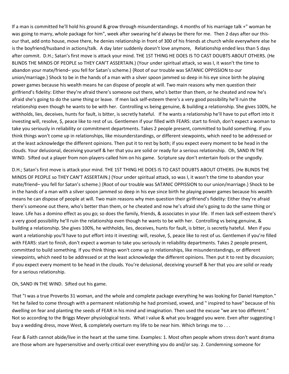If a man is committed he'll hold his ground & grow through misunderstandings. 4 months of his marriage talk +" woman he was going to marry, whole package for him", week after swearing he'd always be there for me. Then 2 days after our thisour that, add onto house, move there, he denies relationship in front of 300 of his friends at church while everywhere else he is the boyfriend/husband in actions/talk. A day later suddenly doesn't love anymore, Relationship ended less than 5 days after commit. D.H.; Satan's first move is attack your mind. THE 1ST THING HE DOES IS TO CAST DOUBTS ABOUT OTHERS. (He BLINDS THE MINDS OF PEOPLE so THEY CAN'T ASSERTAIN.) (Your under spiritual attack, so was I, it wasn't the time to abandon your mate/friend– you fell for Satan's scheme.) {Root of our trouble was SATANIC OPPISSION to our union/marriage.} Shock to be in the hands of a man with a silver spoon jammed so deep in his eye since birth he playing power games because his wealth means he can dispose of people at will. Two main reasons why men question their girlfriend's fidelity: Either they're afraid there's someone out there, who's better than them, or he cheated and now he's afraid she's going to do the same thing or leave. If men lack self-esteem there's a very good possibility he'll ruin the relationship even though he wants to be with her. Controlling vs being genuine, & building a relationship. She gives 100%, he withholds, lies, deceives, hunts for fault, is bitter, is secretly hateful. If he wants a relationship he'll have to put effort into it investing will, resolve, \$, peace like to rest of us. Gentlemen if your filled with FEARS: start to finish, don't expect a woman to take you seriously in reliability or commitment departments. Takes 2 people present, committed to build something. If you think things won't come up in relationships, like misunderstandings, or different viewpoints, which need to be addressed or at the least acknowledge the different opinions. Then put it to rest by both; if you expect every moment to be head in the clouds. Your delusional, deceiving yourself & her that you are solid or ready for a serious relationship. Oh, SAND IN THE WIND. Sifted out a player from non-players-called him on his game. Scripture say don't entertain fools or the ungodly.

D.H.; Satan's first move is attack your mind. THE 1ST THING HE DOES IS TO CAST DOUBTS ABOUT OTHERS. (He BLINDS THE MINDS OF PEOPLE so THEY CAN'T ASSERTAIN.) (Your under spiritual attack, so was I, it wasn't the time to abandon your mate/friend– you fell for Satan's scheme.) {Root of our trouble was SATANIC OPPISSION to our union/marriage.} Shock to be in the hands of a man with a silver spoon jammed so deep in his eye since birth he playing power games because his wealth means he can dispose of people at will. Two main reasons why men question their girlfriend's fidelity: Either they're afraid there's someone out there, who's better than them, or he cheated and now he's afraid she's going to do the same thing or leave. Life has a domino effect as you go; so does the family, friends, & associates in your life. If men lack self-esteem there's a very good possibility he'll ruin the relationship even though he wants to be with her. Controlling vs being genuine, & building a relationship. She gives 100%, he withholds, lies, deceives, hunts for fault, is bitter, is secretly hateful. Men if you want a relationship you'll have to put effort into it investing: will, resolve, \$, peace like to rest of us. Gentlemen if you're filled with FEARS: start to finish, don't expect a woman to take you seriously in reliability departments. Takes 2 people present, committed to build something. If you think things won't come up in relationships, like misunderstandings, or different viewpoints, which need to be addressed or at the least acknowledge the different opinions. Then put it to rest by discussion; if you expect every moment to be head in the clouds. You're delusional, deceiving yourself & her that you are solid or ready for a serious relationship.

#### Oh, SAND IN THE WIND. Sifted out his game.

That "I was a true Proverbs 31 woman, and the whole and complete package everything he was looking for Daniel Hampton." Yet he failed to come through with a permanent relationship he had promised, vowed, and " inspired to have" because of his dwelling on fear and planting the seeds of FEAR in his mind and imagination. Then used the excuse "we are too different." Not so according to the Briggs Meyer physiological tests. What I value & what you bragged you were. Even after suggesting I buy a wedding dress, move West, & completely overturn my life to be near him. Which brings me to . . .

Fear & Faith cannot abide/live in the heart at the same time. Examples: 1. Most often people whom stress don't want drama are those whom are hypersensitive and overly critical over everything you do and/or say. 2. Condemning someone for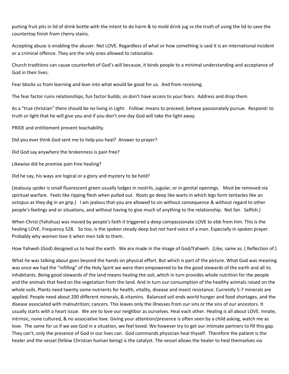putting fruit pits in lid of drink bottle with the intent to do harm & to mold drink jug vs the truth of using the lid to save the countertop finish from cherry stains.

Accepting abuse is enabling the abuser. Not LOVE. Regardless of what or how something is said it is an international incident or a criminal offence. They are the only ones allowed to rationalize.

Church traditions can cause counterfeit of God's will because, it binds people to a minimal understanding and acceptance of God in their lives.

Fear blocks us from learning and lean into what would be good for us. And from receiving.

The fear factor ruins relationships, fun factor builds; so don't have access to your fears. Address and drop them.

As a "true christian" there should be no living in Light: Follow: means to preceed, behave passionately pursue. Respond: to truth or light that he will give you and if you don't one day God will take the light away.

PRIDE and entitlement prevent teachability.

Did you ever think God sent me to help you heal? Answer to prayer?

Did God say anywhere the brokenness is pain free?

Likewise did he promise pain free healing?

Did he say, his ways are logical or a glory and mystery to be hold?

(Jealousy spider is small fluorescent green usually lodges in nostrils, jugular, or in genital openings. Most be removed via spiritual warfare. Feels like ripping flesh when pulled out. Roots go deep like warts in which legs form tentacles like an octopus as they dig in an grip.) I am jealous that you are allowed to sin without consequence & without regard to other people's feelings and or situations, and without having to give much of anything to the relationship. Not fair. Selfish.)

When Christ (Yahshua) was moved by people's faith it triggered a deep compassionate LOVE to ebb from him. This is the healing LOVE. Frequency 528. So too, is the spoken steady deep but not hard voice of a man. Especially in spoken prayer. Probably why women love it when men talk to them.

How Yahweh (God) designed us to heal the earth. We are made in the image of God/Yahweh. (Like, same as. ( Reflection of.)

What he was talking about goes beyond the hands on physical effort. But which is part of the picture. What God was meaning was once we had the "infilling" of the Holy Spirit we were then empowered to be the good stewards of the earth and all its inhabitants. Being good stewards of the land means healing the soil, which in turn provides whole nutrition for the people and the animals that feed on the vegetation from the land. And in turn our consumption of the healthy animals raised on the whole soils. Plants need twenty some nutrients for health, vitality, disease and insect resistance. Currently 5-7 minerals are applied. People need about 200 different minerals, & vitamins. Balanced soil ends world hunger and food shortages, and the disease associated with malnutrition; cancers. This leaves only the illnesses from our sins or the sins of our ancestors. It usually starts with a heart issue. We are to love our neighbor as ourselves. Heal each other. Healing is all about LOVE. Innate, intrinsic, none cultured, & no associative love. Giving your attention/presence is often seen by a child asking, watch me as love. The same for us if we see God in a situation, we feel loved. We however try to get our intimate partners to fill this gap. They can't, only the presence of God in our lives can. God commands physician heal thyself. Therefore the patient is the healer and the vessel (fellow Christian human being) is the catalyst. The vessel allows the healer to heal themselves via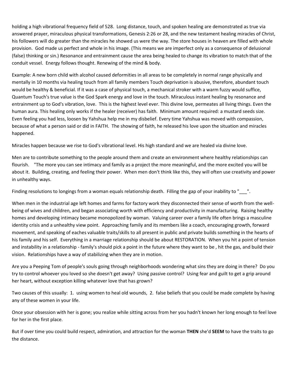holding a high vibrational frequency field of 528. Long distance, touch, and spoken healing are demonstrated as true via answered prayer, miraculous physical transformations, Genesis 2:26 or 28, and the new testament healing miracles of Christ, his followers will do greater than the miracles he showed us were the way. The store houses in heaven are filled with whole provision. God made us perfect and whole in his image. (This means we are imperfect only as a consequence of delusional (false) thinking or sin.) Resonance and entrainment cause the area being healed to change its vibration to match that of the conduit vessel. Energy follows thought. Renewing of the mind & body.

Example: A new born child with alcohol caused deformities in all areas to be completely in normal range physically and mentally in 10 months via healing touch from all family members Touch deprivation is abusive, therefore, abundant touch would be healthy & beneficial. If it was a case of physical touch, a mechanical stroker with a warm fuzzy would suffice, Quantum Touch's true value is the God Spark energy and love in the touch. Miraculous instant healing by resonance and entrainment up to God's vibration, love. This is the highest level ever. This divine love, permeates all living things. Even the human aura. This healing only works if the healer (receiver) has faith. Minimum amount required: a mustard seeds size. Even feeling you had less, loosen by Yahshua help me in my disbelief. Every time Yahshua was moved with compassion, because of what a person said or did in FAITH. The showing of faith, he released his love upon the situation and miracles happened.

Miracles happen because we rise to God's vibrational level. His high standard and we are healed via divine love.

Men are to contribute something to the people around them and create an environment where healthy relationships can flourish. "The more you can see intimacy and family as a project the more meaningful, and the more excited you will be about it. Building, creating, and feeling their power. When men don't think like this, they will often use creativity and power in unhealthy ways.

Finding resolutions to longings from a woman equals relationship death. Filling the gap of your inability to "\_\_\_".

When men in the industrial age left homes and farms for factory work they disconnected their sense of worth from the wellbeing of wives and children, and began associating worth with efficiency and productivity in manufacturing. Raising healthy homes and developing intimacy became monopolized by woman. Valuing career over a family life often brings a masculine identity crisis and a unhealthy view point. Approaching family and its members like a coach, encouraging growth, forward movement, and speaking of eaches valuable traits/skills to all present in public and private builds something in the hearts of his family and his self. Everything in a marriage relationship should be about RESTORATION. When you hit a point of tension and instability in a relationship - family's should pick a point in the future where they want to be , hit the gas, and build their vision. Relationships have a way of stabilizing when they are in motion.

Are you a Peeping Tom of people's souls going through neighborhoods wondering what sins they are doing in there? Do you try to control whoever you loved so she doesn't get away? Using passive control? Using fear and guilt to get a grip around her heart, without exception killing whatever love that has grown?

Two causes of this usually: 1. using women to heal old wounds, 2. false beliefs that you could be made complete by having any of these women in your life.

Once your obsession with her is gone; you realize while sitting across from her you hadn't known her long enough to feel love for her in the first place.

But if over time you could build respect, admiration, and attraction for the woman **THEN** she'd **SEEM** to have the traits to go the distance.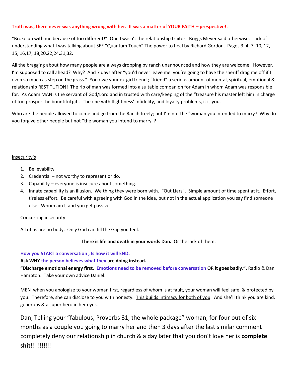#### **Truth was, there never was anything wrong with her. It was a matter of YOUR FAITH – prespective!.**

"Broke up with me because of too different!" One I wasn't the relationship traitor. Briggs Meyer said otherwise. Lack of understanding what I was talking about SEE "Quantum Touch" The power to heal by Richard Gordon. Pages 3, 4, 7, 10, 12, 15, 16,17, 18,20,22,24,31,32.

All the bragging about how many people are always dropping by ranch unannounced and how they are welcome. However, I'm supposed to call ahead? Why? And 7 days after "you'd never leave me you're going to have the sheriff drag me off if I even so much as step on the grass." You owe your ex-girl friend ; "friend" a serious amount of mental, spiritual, emotional & relationship RESTITUTION! The rib of man was formed into a suitable companion for Adam in whom Adam was responsible for. As Adam MAN is the servant of God/Lord and in trusted with care/keeping of the "treasure his master left him in charge of too prosper the bountiful gift. The one with flightiness' infidelity, and loyalty problems, it is you.

Who are the people allowed to come and go from the Ranch freely; but I'm not the "woman you intended to marry? Why do you forgive other people but not "the woman you intend to marry"?

#### Insecurity's

- 1. Believability
- 2. Credential not worthy to represent or do.
- 3. Capability everyone is insecure about something.
- 4. Innate capability is an illusion. We thing they were born with. "Out Liars". Simple amount of time spent at it. Effort, tireless effort. Be careful with agreeing with God in the idea, but not in the actual application you say find someone else. Whom am I, and you get passive.

#### Concurring insecurity

All of us are no body. Only God can fill the Gap you feel.

#### **There is life and death in your words Dan.** Or the lack of them.

#### **How you START a conversation , Is how it will END.**

#### **Ask WHY the person believes what they are doing instead.**

**"Discharge emotional energy first. Emotions need to be removed before conversation** OR **it goes badly.",** Radio & Dan Hampton. Take your own advice Daniel.

MEN when you apologize to your woman first, regardless of whom is at fault, your woman will feel safe, & protected by you. Therefore, she can disclose to you with honesty. This builds intimacy for both of you. And she'll think you are kind, generous & a super hero in her eyes.

Dan, Telling your "fabulous, Proverbs 31, the whole package" woman, for four out of six months as a couple you going to marry her and then 3 days after the last similar comment completely deny our relationship in church & a day later that you don't love her is **complete shit**!!!!!!!!!!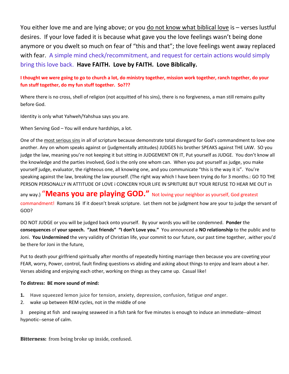You either love me and are lying above; or you do not know what biblical love is – verses lustful desires. If your love faded it is because what gave you the love feelings wasn't being done anymore or you dwelt so much on fear of "this and that"; the love feelings went away replaced with fear. A simple mind check/recommitment, and request for certain actions would simply bring this love back. **Have FAITH. Love by FAITH. Love Biblically.** 

#### **I thought we were going to go to church a lot, do ministry together, mission work together, ranch together, do your fun stuff together, do my fun stuff together. So???**

Where there is no cross, shell of religion (not acquitted of his sins), there is no forgiveness, a man still remains guilty before God.

Identity is only what Yahweh/Yahshua says you are.

When Serving God – You will endure hardships, a lot.

One of the most serious sins in all of scripture because demonstrate total disregard for God's commandment to love one another. Any on whom speaks against or (judgmentally attitudes) JUDGES his brother SPEAKS against THE LAW. SO you judge the law, meaning you're not keeping it but sitting in JUDGEMENT ON IT, Put yourself as JUDGE. You don't know all the knowledge and the parties involved, God is the only one whom can. When you put yourself as judge, you make yourself judge, evaluator, the righteous one, all knowing one, and you communicate "this is the way it is". You're speaking against the law, breaking the law yourself. (The right way which I have been trying do for 3 months.: GO TO THE PERSON PERSONALLY IN ATTITUDE OF LOVE i CONCERN YOUR LIFE IN SPRITURE BUT YOUR REFUSE TO HEAR ME OUT in

any way.) "**Means you are playing GOD."** Not loving your neighbor as yourself, God greatest commandment! Romans 16 If it doesn't break scripture. Let them not be judgment how are your to judge the servant of GOD?

DO NOT JUDGE or you will be judged back onto yourself. By your words you will be condemned. **Ponder** the **consequences** of **your speech. "Just friends" "I don't Love you."** You announced a **NO relationship** to the public and to Joni. **You Undermined** the very validity of Christian life, your commit to our future, our past time together, .wither you'd be there for Joni in the future,

Put to death your girlfriend spiritually after months of repeatedly hinting marriage then because you are coveting your FEAR, worry, Power, control, fault finding questions vs abiding and asking about things to enjoy and learn about a her. Verses abiding and enjoying each other, working on things as they came up. Casual like!

#### **To distress: BE more sound of mind:**

- **1.** Have squeezed lemon juice for tension, anxiety, depression, confusion, fatigue *and* anger.
- 2. wake up between REM cycles, not in the middle of one

3 peeping at fish and swaying seaweed in a fish tank for five minutes is enough to induce an immediate--almost hypnotic--sense of calm.

**Bitterness:** from being broke up inside, confused.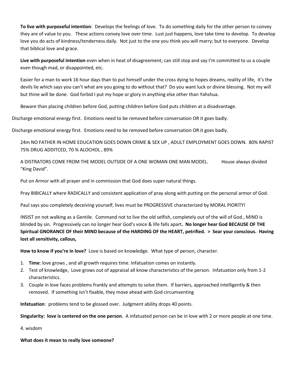**To live with purposeful intention**: Develops the feelings of love. To do something daily for the other person to convey they are of value to you. These actions convey love over time. Lust just happens, love take time to develop. To develop love you do acts of kindness/tenderness daily. Not just to the one you think you will marry; but to everyone. Develop that biblical love and grace.

**Live with purposeful intention** even when in heat of disagreement; can still stop and say I'm committed to us a couple even though mad, or disappointed, etc.

Easier for a man to work 16 hour days than to put himself under the cross dying to hopes dreams, reality of life, it's the devils lie which says you can't what are you going to do without that? Do you want luck or divine blessing. Not my will but thine will be done. God forbid I put my hope or glory in anything else other than Yahshua.

Beware than placing children before God, putting children before God puts children at a disadvantage.

Discharge emotional energy first. Emotions need to be removed before conversation OR it goes badly.

Discharge emotional energy first. Emotions need to be removed before conversation OR it goes badly.

24m NO FATHER IN HOME EDUCATION GOES DOWN CRIME & SEX UP , ADULT EMPLOYMENT GOES DOWN. 80% RAPIST 75% DRUG ADDITCED, 70 % ALOCHOL , 89%

A DISTRATORS COME FROM THE MODEL OUTSIDE OF A ONE WOMAN ONE MAN MODEL. House always divided "King David".

Put on Armor with all prayer and in commission that God does super natural things.

Pray BIBICALLY where RADICALLY and consistent application of pray along with putting on the personal armor of God.

Paul says you completely deceiving yourself, lives must be PROGRESSIVE characterized by MORAL PIORITY!

INSIST on not walking as a Gentile. Command not to live the old selfish, completely out of the will of God., MIND is blinded by sin. Progressively can no longer hear God's voice & life falls apart**. No longer hear God BECAUSE OF THE Spiritual GNORANCE OF their MIND because of the HARDING OF the HEART, petrified. > Sear your conscious. Having lost all sensitivity, callous,** 

**How to know if you're in love?** Love is based on knowledge. What type of person, character.

- 1. **Time**: love grows , and all growth requires time. Infatuation comes on instantly.
- 2. Test of knowledge, Love grows out of appraisal all know characteristics of the person. Infatuation only from 1-2 characteristics.
- 3. Couple in love faces problems frankly and attempts to solve them. If barriers, approached intelligently & then removed. If something isn't fixable, they move ahead with God circumventing

**Infatuation**: problems tend to be glossed over.Judgment ability drops 40 points.

**Singularity: love is centered on the one person.** A infatuated person can be in love with 2 or more people at one time.

4. wisdom

**What does it mean to really love someone?**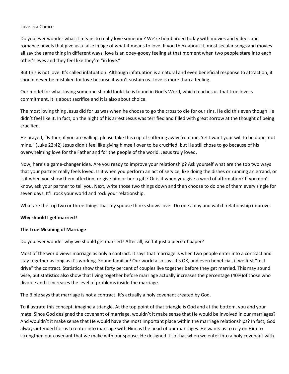#### Love is a Choice

Do you ever wonder what it means to really love someone? We're bombarded today with movies and videos and romance novels that give us a false image of what it means to love. If you think about it, most secular songs and movies all say the same thing in different ways: love is an ooey-gooey feeling at that moment when two people stare into each other's eyes and they feel like they're "in love."

But this is not love. It's called infatuation. Although infatuation is a natural and even beneficial response to attraction, it should never be mistaken for love because it won't sustain us. Love is more than a feeling.

Our model for what loving someone should look like is found in God's Word, which teaches us that true love is commitment. It is about sacrifice and it is also about choice.

The most loving thing Jesus did for us was when he choose to go the cross to die for our sins. He did this even though He didn't feel like it. In fact, on the night of his arrest Jesus was terrified and filled with great sorrow at the thought of being crucified.

He prayed, "Father, if you are willing, please take this cup of suffering away from me. Yet I want your will to be done, not mine." (Luke 22:42) Jesus didn't feel like giving himself over to be crucified, but He still chose to go because of his overwhelming love for the Father and for the people of the world. Jesus truly loved.

Now, here's a game-changer idea. Are you ready to improve your relationship? Ask yourself what are the top two ways that your partner really feels loved. Is it when you perform an act of service, like doing the dishes or running an errand, or is it when you show them affection, or give him or her a gift? Or is it when you give a word of affirmation? If you don't know, ask your partner to tell you. Next, write those two things down and then choose to do one of them every single for seven days. It'll rock your world and rock your relationship.

What are the top two or three things that my spouse thinks shows love. Do one a day and watch relationship improve.

#### **Why should I get married?**

#### **The True Meaning of Marriage**

Do you ever wonder why we should get married? After all, isn't it just a piece of paper?

Most of the world views marriage as only a contract. It says that marriage is when two people enter into a contract and stay together as long as it's working. Sound familiar? Our world also says it's OK, and even beneficial, if we first "test drive" the contract. Statistics show that forty percent of couples live together before they get married. This may sound wise, but statistics also show that living together before marriage actually increases the percentage (40%)of those who divorce and it increases the level of problems inside the marriage.

The Bible says that marriage is not a contract. It's actually a holy covenant created by God.

To illustrate this concept, imagine a triangle. At the top point of that triangle is God and at the bottom, you and your mate. Since God designed the covenant of marriage, wouldn't it make sense that He would be involved in our marriages? And wouldn't it make sense that He would have the most important place within the marriage relationships? In fact, God always intended for us to enter into marriage with Him as the head of our marriages. He wants us to rely on Him to strengthen our covenant that we make with our spouse. He designed it so that when we enter into a holy covenant with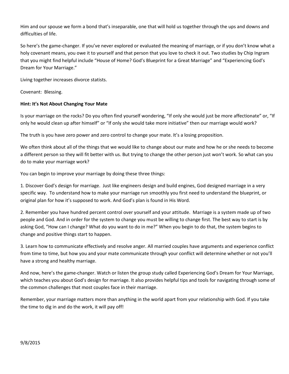Him and our spouse we form a bond that's inseparable, one that will hold us together through the ups and downs and difficulties of life.

So here's the game-changer. If you've never explored or evaluated the meaning of marriage, or if you don't know what a holy covenant means, you owe it to yourself and that person that you love to check it out. Two studies by Chip Ingram that you might find helpful include "House of Home? God's Blueprint for a Great Marriage" and "Experiencing God's Dream for Your Marriage."

Living together increases divorce statists.

Covenant: Blessing.

#### **Hint: It's Not About Changing Your Mate**

Is your marriage on the rocks? Do you often find yourself wondering, "If only she would just be more affectionate" or, "If only he would clean up after himself" or "If only she would take more initiative" then our marriage would work?

The truth is you have zero power and zero control to change your mate. It's a losing proposition.

We often think about all of the things that we would like to change about our mate and how he or she needs to become a different person so they will fit better with us. But trying to change the other person just won't work. So what can you do to make your marriage work?

You can begin to improve your marriage by doing these three things:

1. Discover God's design for marriage. Just like engineers design and build engines, God designed marriage in a very specific way. To understand how to make your marriage run smoothly you first need to understand the blueprint, or original plan for how it's supposed to work. And God's plan is found in His Word.

2. Remember you have hundred percent control over yourself and your attitude. Marriage is a system made up of two people and God. And in order for the system to change you must be willing to change first. The best way to start is by asking God, "How can I change? What do you want to do in me?" When you begin to do that, the system begins to change and positive things start to happen.

3. Learn how to communicate effectively and resolve anger. All married couples have arguments and experience conflict from time to time, but how you and your mate communicate through your conflict will determine whether or not you'll have a strong and healthy marriage.

And now, here's the game-changer. Watch or listen the group study called Experiencing God's Dream for Your Marriage, which teaches you about God's design for marriage. It also provides helpful tips and tools for navigating through some of the common challenges that most couples face in their marriage.

Remember, your marriage matters more than anything in the world apart from your relationship with God. If you take the time to dig in and do the work, it will pay off!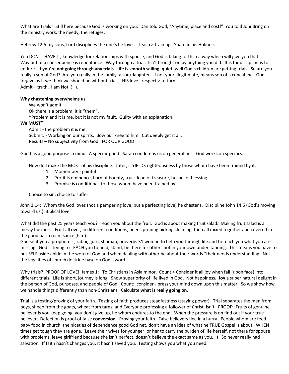What are Trails? Still here because God is working on you. Dan told God, "Anytime, place and cost!" You told Joni Bring on the ministry work, the needy, the refuges.

Hebrew 12:5 my sons, Lord disciplines the one's he loves. Teach > train up. Share in his Holiness.

You DON"T HAVE IT, knowledge for relationships with spouse, and God is taking forth in a way which will give you that. Way out of a consequence is repentance. Way through a trial. Isn't brought on by anything you did. It is for discipline is to endure. **If you're not going through any trials - life is smooth sailing**, **quiet**, well God's children are getting trials. So are you really a son of God? Are you really in the family, a son/daughter. If not your illegitimate, means son of a concubine. God forgive us it we think we should be without trials. HIS love. respect > to turn. Admit – truth. I am Not ( ).

#### **Why chastening overwhelms us**

We won't admit. Ok there is a problem, it is "them". \*Problem and it is me, but it is not my fault. Guilty with an explanation. **We MUST"** Admit - the problem it is me. Submit. - Working on our spirits. Bow our knee to him. Cut deeply get it all.

Results – No subjectivity from God. FOR OUR GOOD!

God has a good purpose in mind. A specific good. Satan condemns us on generalities. God works on specifics.

How do I make the MOST of his discipline. Later, it YIELDS righteousness by those whom have been trained by it.

- 1. Momentary painful
- 2. Profit is eminence, barn of bounty, truck load of treasure, bushel of blessing.
- 3. Promise is conditional, to those whom have been trained by it.

Choice to sin, choice to suffer.

John 1:14: Whom the God loves (not a pampering love, but a perfecting love) he chastens. Discipline John 14:6 (God's moving toward us.) Biblical love.

What did the past 25 years teach you? Teach you about the fruit. God is about making fruit salad. Making fruit salad is a messy business. Fruit all over, in different conditions, needs pruning picking cleaning, then all mixed together and covered in the good part cream sauce (him).

God sent you a prophetess, rabbi, guru, shaman, proverbs 31 woman to help you through life and to teach you what you are missing. God is trying to TEACH you to hold, stand, be there for others not in your own understanding. This means you have to put SELF aside abide in the word of God and when dealing with other be about their words "their needs understanding. Not the legalities of church doctrine base on God's word.

Why trials? PROOF OF LOVE! James 1: To Christians in Asia minor. Count > Consider it all joy when fall (upon face) into different trials. Life is short, journey is long. Show superiority of life lived in God. Not happiness. **Joy** a super natural delight in the person of God, purposes, and people of God. Count: consider - press your mind down upon this matter. So we show how we handle things differently than non-Christians. Calculate **what is really going on.**

Trial is a testing/proving of your faith. Testing of faith produces steadfastness (staying power). Trial separates the men from boys, sheep from the goats, wheat from tares, and Everyone professing a follower of Christ, isn't. PROOF: Fruits of genuine believer is you keep going, you don't give up, he whom endures to the end. When the pressure is on find out if your true believer. Defection is proof of false **conversion.** Proving your faith. False believers flee in a hurry. People whom are feed baby food in church, the niceties of dependence good God net, don't have an idea of what he TRUE Gospel is about. WHEN times get tough they are gone. (Leave their wives for younger, or her to carry the burden of life herself, not there for spouse with problems, leave girlfriend because she isn't perfect, doesn't believe the exact same as you, .) So never really had salvation. If faith hasn't changes you, it hasn't saved you. Testing shows you what you need.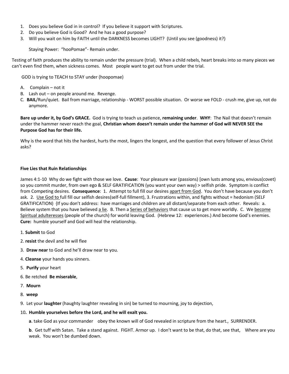- 1. Does you believe God in in control? If you believe it support with Scriptures.
- 2. Do you believe God is Good? And he has a good purpose?
- 3. Will you wait on him by FAITH until the DARKNESS becomes LIGHT? (Until you see (goodness) it?)

Staying Power: "hooPomae"- Remain under.

Testing of faith produces the ability to remain under the pressure (trial). When a child rebels, heart breaks into so many pieces we can't even find them, when sickness comes. Most people want to get out from under the trial.

GOD is trying to TEACH to STAY under (hoopomae)

- A. Complain not it
- B. Lash out on people around me. Revenge.
- C. **BAIL**/Run/quiet. Bail from marriage, relationship WORST possible situation. Or worse we FOLD crush me, give up, not do anymore.

**Bare up under it, by God's GRACE.** God is trying to teach us patience, **remaining under**. **WHY**: The Nail that doesn't remain under the hammer never reach the goal, **Christian whom doesn't remain under the hammer of God will NEVER SEE the Purpose God has for their life.**

Why is the word that hits the hardest, hurts the most, lingers the longest, and the question that every follower of Jesus Christ asks?

#### **Five Lies that Ruin Relationships**

James 4:1-10 Why do we fight with those we love. **Cause**: Your pleasure war (passions) [own lusts among you, envious(covet) so you commit murder, from own ego & SELF GRATIFICATION (you want your own way) > selfish pride. Symptom is conflict from Competing desires. **Consequence**: 1. Attempt to full fill our desires apart from God. You don't have because you don't ask. 2. Use God to full fill our selfish desires(self-full fillment), 3. Frustrations within, and fights without = hedonism (SELF GRATIFICATION) {If you don't address: have marriages and children are all distant/separate from each other. Reveals: a. Believe system that you have believed a lie. B. Then a Series of behaviors that cause us to get more worldly. C. We become Spiritual adulteresses (people of the church) for world leaving God. (Hebrew 12: experiences.) And become God's enemies. **Cure:** humble yourself and God will heal the relationship.

- 1. **Submit** to God
- 2. **resist** the devil and he will flee
- 3. **Draw near** to God and he'll draw near to you.
- 4. **Cleanse** your hands you sinners.
- 5. **Purify** your heart
- 6. Be retched **Be miserable**,
- 7. **Mourn**
- 8. **weep**
- 9. Let your **laughter** (haughty laughter revealing in sin) be turned to mourning, joy to dejection,

#### 10**. Humble yourselves before the Lord, and he will exalt you.**

**a**. take God as your commander obey the known will of God revealed in scripture from the heart., SURRENDER.

**b**. Get tuff with Satan. Take a stand against. FIGHT. Armor up. I don't want to be that, do that, see that, Where are you weak. You won't be dumbed down.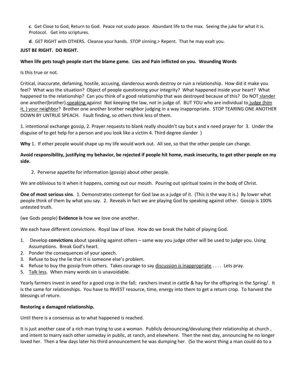**c**. Get Close to God, Return to God. Peace not scudo peace. Abundant life to the max. Seeing the juke for what it is. Protocol. Get into scriptures.

**d**. GET RIGHT with OTHERS. Cleanse your hands. STOP sinning.> Repent. That he may exalt you.

#### **JUST BE RIGHT. DO RIGHT.**

#### **When life gets tough people start the blame game. Lies and Pain inflicted on you. Wounding Words**

Is this true or not.

Critical, inaccurate, defaming, hostile, accusing, slanderous words destroy or ruin a relationship. How did it make you feel? What was the situation? Object of people questioning your integrity? What happened inside your heart? What happened to the relationship? Can you think of a good relationship that was destroyed because of this? Do NOT slander one another(brother).speaking against Not keeping the law, not in judge of. BUT YOU who are individual to judge (him it, ) your neighbor? Brother one another brother neighbor judging in a way inappropriate. STOP TEARING ONE ANOTHER DOWN BY UNTRUE SPEACH. Fault finding, so others think less of them.

1. intentional exchange gossip, 2. Prayer requests to blank really shouldn't say but x and x need prayer for 3. Under the disguise of to get help for a person and you look like a victim 4. Third degree slander )

**Why** 1. If other people would shape up my life would work out. All see, so that the other people can change.

#### **Avoid responsibility, justifying my behavior, be rejected if people hit home, mask insecurity, to get other people on my side.**

2. Perverse appetite for information (gossip) about other people.

We are oblivious to it when it happens, coming out our mouth. Pouring out spiritual toxins in the body of Christ.

**One of most serious sins**. 1. Demonstrates contempt for God law as a judge of it. (This is the way it is.) By lower what people think of them by what you say. 2. Reveals in fact we are playing God by speaking against other. Gossip is 100% untested truth.

(we Gods people) **Evidence is** how we love one another.

We each have different convictions. Royal law of love. How do we break the habit of playing God.

- 1. Develop **convictions** about speaking against others same way you judge other will be used to judge you. Using Assumptions. Break God's heart.
- 2. Ponder the consequences of your speech.
- 3. Refuse to buy the lie that it is someone else's problem.
- 4. Refuse to buy the gossip from others. Takes courage to say discussion is inappropriate .... Lets pray.
- 5. Talk less. When many words sin is unavoidable.

Yearly farmers invest in seed for a good crop in the fall; ranchers invest in cattle & hay for the offspring in the Spring/. It is the same for relationships. You have to INVEST resource, time, energy into them to get a return crop. To harvest the blessings of return.

#### **Restoring a damaged relationship.**

Until there is a consensus as to what happened is reached.

It is just another case of a rich man trying to use a woman. Publicly denouncing/devaluing their relationship at church , and intent to marry each other someday in public, at ranch, and elsewhere. Then the next day, announcing he no longer loved her. Then a few days later his third announcement he was dumping her. (So the worst thing a man could do to a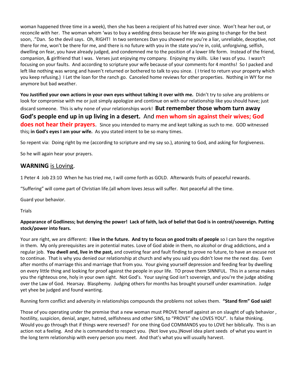woman happened three time in a week), then she has been a recipient of his hatred ever since. Won't hear her out, or reconcile with her. The woman whom 'was to buy a wedding dress because her life was going to change for the best soon, ."Dan. So the devil says. Oh, RIGHT! In two sentences Dan you showed me you're a liar, unreliable, deceptive, not there for me, won't be there for me, and there is no future with you in the state you're in, cold, unforgiving, selfish, dwelling on fear, you have already judged, and condemned me to the position of a lower life form. Instead of the friend, companion, & girlfriend that I was. Verses just enjoying my company. Enjoying my skills. Like I was of you. I wasn't focusing on your faults. And according to scripture your wife because of your comments for 4 months! So I packed and left like nothing was wrong and haven't returned or bothered to talk to you since. ( I tried to return your property which you keep refusing.) I Let the loan for the ranch go. Canceled home reviews for other properties. Nothing in WY for me anymore but bad weather.

**You Justified your own actions in your own eyes without talking it over with me.** Didn't try to solve any problems or look for compromise with me or just simply apologize and continue on with our relationship like you should have; just discard someone. This is why none of your relationships work! **But remember those whom turn away God's people end up in up living in a desert.** And **men whom sin against their wives; God does not hear their prayers**. Since you intended to marry me and kept talking as such to me. GOD witnessed this**; in God's eyes I am your wife.** As you stated intent to be so many times.

So repent via: Doing right by me (according to scripture and my say so.), atoning to God, and asking for forgiveness.

So he will again hear your prayers.

#### **WARNING** is Loving.

1 Peter 4 Job 23:10 When he has tried me, I will come forth as GOLD. Afterwards fruits of peaceful rewards.

"Suffering" will come part of Christian life.(all whom loves Jesus will suffer. Not peaceful all the time.

Guard your behavior.

Trials

#### **Appearance of Godliness; but denying the power! Lack of faith, lack of belief that God is in control/sovereign. Putting stock/power into fears.**

Your are right, we are different: **I live in the future. And try to focus on good traits of people** so I can bare the negative in them. My only prerequisites are in potential mates. Love of God abide in them, no alcohol or drug addictions, and a regular job. **You dwell and, live in the past,** and coveting fear and fault finding to prove no future, to have an excuse not to continue. That is why you denied our relationship at church and why you said you didn't love me the next day. Even after months of marriage this and marriage that from you. Your giving yourself depression and feeding fear by dwelling on every little thing and looking for proof against the people in your life. TO prove them SINNFUL. This in a sense makes you the righteous one, holy in your own sight. Not God's. Your saying God isn't sovereign, and you're the judge abiding over the Law of God. Hearsay. Blasphemy. Judging others for months has brought yourself under examination. Judge yet yhee be judged and found wanting.

Running form conflict and adversity in relationships compounds the problems not solves them. **"Stand firm" God said!**

Those of you operating under the premise that a new woman must PROVE herself against an on slaught of ugly behavior , hostility, suspicion, denial, anger, hatred, selfishness and other SINS, to "PROVE" she LOVES YOU". Is false thinking. Would you go through that if things were reversed? For one thing God COMMANDS you to LOVE her biblically. This is an action not a feeling. And she is commanded to respect you. (Not love you.)Novel idea plant seeds of what you want in the long term relationship with every person you meet. And that's what you will usually harvest.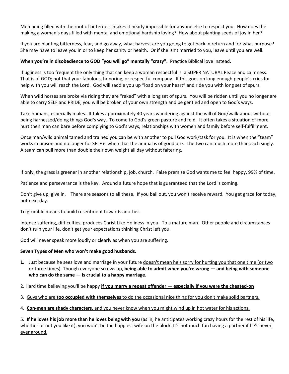Men being filled with the root of bitterness makes it nearly impossible for anyone else to respect you. How does the making a woman's days filled with mental and emotional hardship loving? How about planting seeds of joy in her?

If you are planting bitterness, fear, and go away, what harvest are you going to get back in return and for what purpose? She may have to leave you in or to keep her sanity or health. Or if she isn't married to you, leave until you are well.

#### **When you're in disobedience to GOD "you will go" mentally "crazy".** Practice Biblical love instead.

If ugliness is too frequent the only thing that can keep a woman respectful is a SUPER NATURAL Peace and calmness. That is of GOD; not that your fabulous, honoring, or respectful company. If this goes on long enough people's cries for help with you will reach the Lord. God will saddle you up "load on your heart" and ride you with long set of spurs.

When wild horses are broke via riding they are "raked" with a long set of spurs. You will be ridden until you no longer are able to carry SELF and PRIDE, you will be broken of your own strength and be gentled and open to God's ways.

Take humans, especially males. It takes approximately 40 years wandering against the will of God/walk-about without being harnessed/doing things God's way. To come to God's green pasture and fold. It often takes a situation of more hurt then man can bare before complying to God's ways, relationships with women and family before self-fulfillment.

Once man/wild animal tamed and trained you can be with another to pull God work/task for you. It is when the "team" works in unison and no longer for SELF is when that the animal is of good use. The two can much more than each singly. A team can pull more than double their own weight all day without faltering.

If only, the grass is greener in another relationship, job, church. False premise God wants me to feel happy, 99% of time.

Patience and perseverance is the key. Around a future hope that is guaranteed that the Lord is coming.

Don't give up, give in. There are seasons to all these. If you bail out, you won't receive reward. You get grace for today, not next day.

To grumble means to build resentment towards another.

Intense suffering, difficulties, produces Christ Like Holiness in you. To a mature man. Other people and circumstances don't ruin your life, don't get your expectations thinking Christ left you.

God will never speak more loudly or clearly as when you are suffering.

#### **Seven Types of Men who won't make good husbands.**

- **1.** Just because he sees love and marriage in your future doesn't mean he's sorry for hurting you that one time (or two or three times). Though everyone screws up, **being able to admit when you're wrong — and being with someone who can do the same — is crucial to a happy marriage.**
- 2. Hard time believing you'll be happy **if you marry a repeat offender — especially if you were the cheated-on**
- 3. Guys who are **too occupied with themselves** to do the occasional nice thing for you don't make solid partners.
- 4. **Con-men are shady characters**, and you never know when you might wind up in hot water for his actions.

5. **If he loves his job more than he loves being with you** (as in, he anticipates working crazy hours for the rest of his life, whether or not you like it), you won't be the happiest wife on the block. It's not much fun having a partner if he's never ever around.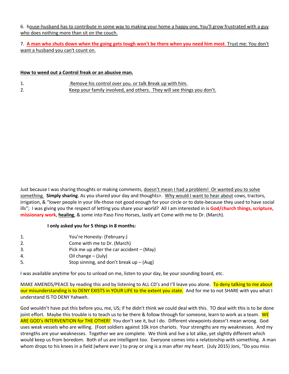6. house-husband has to contribute in some way to making your home a happy one, You'll grow frustrated with a guy who does nothing more than sit on the couch.

7. **A man who shuts down when the going gets tough won't be there when you need him most**. Trust me: You don't want a husband you can't count on.

#### **How to weed out a Control freak or an abusive man.**

- 1. Remove his control over you. or talk Break up with him.
- 2. Keep your family involved, and others. They will see things you don't.

Just because I was sharing thoughts or making comments, doesn't mean I had a problem! Or wanted you to solve something. **Simply sharing**. As you shared your day and thoughts>. Why would I want to hear about cows, tractors, irrigation, & "lower people in your life-those not good enough for your circle or to date-because they used to have social ills"; I was giving you the respect of letting you share your world? All I am interested in is **God/church things, scripture, missionary work**, **healing**, & some into Paso Fino Horses, lastly art Come with me to Dr. (March).

#### **I only asked you for 5 things in 8 months:**

- 1. You're Honesty- (February.)
- 2. Come with me to Dr. (March)
- 3. Pick me up after the car accident (May)
- 4. Oil change (July)
- 5. Stop sinning, and don't break up (Aug)

I was available anytime for you to unload on me, listen to your day, be your sounding board, etc.

MAKE AMENDS/PEACE by reading this and by listening to ALL CD's and I'll leave you alone. To deny talking to me about our misunderstanding is to DENY EXISTS in YOUR LIFE to the extent you state. And for me to not SHARE with you what I understand IS TO DENY Yahweh.

God wouldn't have put this before you, me, US; if he didn't think we could deal with this. TO deal with this is to be done joint effort. Maybe this trouble is to teach us to be there & follow through for someone, learn to work as a team. WE ARE GOD's INTERVENTION for THE OTHER! You don't see it, but I do. Different viewpoints doesn't mean wrong. God uses weak vessels who are willing. (Foot soldiers against 10k iron chariots. Your strengths are my weaknesses. And my strengths are your weaknesses. Together we are complete. We think and live a lot alike, yet slightly different which would keep us from boredom. Both of us are intelligent too. Everyone comes into a relationship with something. A man whom drops to his knees in a field (where ever ) to pray or sing is a man after my heart. (July 2015) Joni, "Do you miss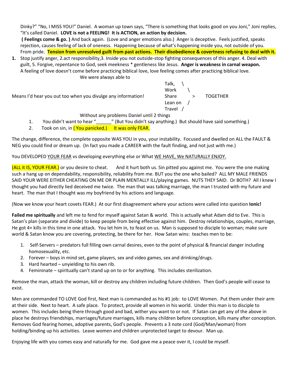Dinky?" "No, I MISS YOU!" Daniel. A woman up town says, "There is something that looks good on you Joni," Joni replies, "It's called Daniel. **LOVE is not a FEELING! It is ACTION, an action by decision.**

**( Feelings come & go. )** And back again. (Love and anger emotions also.) Anger is deceptive. Feels justified, speaks rejection, causes feeling of lack of oneness. Happening because of what's happening inside you, not outside of you. From pride. **Tension from unresolved guilt from past actions. Their disobedience & covertness refusing to deal with it.**

**1.** Stop justify anger, 2.act responsibility,3. Inside you not outside-stop fighting consequences of this anger. 4. Deal with guilt, 5. Forgive, repentance to God, seek meekness \* gentleness like Jesus. **Anger is weakness in carnal weapon.** A feeling of love doesn't come before practicing biblical love, love feeling comes after practicing biblical love. We were always able to

|                                                              | Talk.                    |
|--------------------------------------------------------------|--------------------------|
|                                                              | Work                     |
| Means I'd hear you out too when you divulge any information! | <b>TOGETHER</b><br>Share |
|                                                              | Lean on                  |
|                                                              | Travel                   |

#### Without any problems Daniel until 2 things

- 1. You didn't want to hear "\_\_\_\_\_\_" (But You didn't say anything.) But should have said something.)
- 2. Took on sin, in (You panicked.) It was only FEAR.

The change, difference, the complete opposite WAS YOU in you, your instability. Focused and dwelled on ALL the FAULT & NEG you could find or dream up. (In fact you made a CAREER with the fault finding, and not just with me.)

You DEVELOPED YOUR FEAR vs developing everything else or What WE HAVE, We NATURALLY ENJOY.

(ALL it IS, YOUR FEAR.) or you desire to cheat. And it hurt both us. Sin pitted you against me. You were the one making such a hang up on dependability, responsibility, reliability from me. BUT you the one who bailed? ALL MY MALE FRIENDS SAID YOUR WERE EITHER CHEATING ON ME OR PLAIN MENTALLY ILL/playing games. NUTS THEY SAID. Or BOTH? All I knew I thought you had directly lied deceived me twice. The man that was talking marriage, the man I trusted with my future and heart. The man that I thought was my boyfriend by his actions and language.

(Now we know your heart covets FEAR.) At our first disagreement where your actions were called into question **Ionic!** 

**Failed me spiritually** and left me to fend for myself against Satan & world. This is actually what Adam did to Eve. This is Satan's plan (separate and divide) to keep people from being effective against him. Destroy relationships, couples, marriage, He got 4+ kills in this time in one attack. You let him in, to feast on us. Man is supposed to disciple to woman; make sure world & Satan know you are covering, protecting, be there for her. How Satan wins: teaches men to be:

- 1. Self-Servers predators full filling own carnal desires, even to the point of physical & financial danger including homosexuality, etc.
- 2. Forever boys in mind set, game players, sex and video games, sex and drinking/drugs.
- 3. Hard hearted unyielding to his own rib.
- 4. Femininate spiritually can't stand up on to or for anything. This includes sterilization.

Remove the man, attack the woman, kill or destroy any children including future children. Then God's people will cease to exist.

Men are commanded TO LOVE God first, Next man is commanded as his #1 job: to LOVE Women. Put them under their arm at their side. Next to heart. A safe place. To protect, provide all women in his world. Under this man is to disciple to women. This includes being there through good and bad, wither you want to or not. If Satan can get any of the above in place he destroys friendships, marriages/future marriages, kills many children before conception, kills many after conception. Removes God fearing homes, adoptive parents, God's people. Prevents a 3 note cord (God/Man/woman) from holding/binding up his activities. Leave women and children unprotected target to devour. Man up.

Enjoying life with you comes easy and naturally for me. God gave me a peace over it, I could be myself.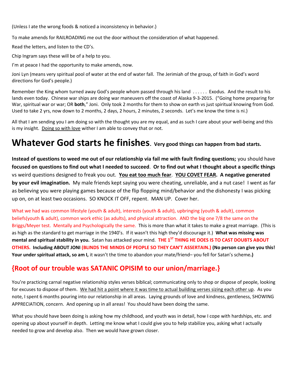(Unless I ate the wrong foods & noticed a inconsistency in behavior.)

To make amends for RAILROADING me out the door without the consideration of what happened.

Read the letters, and listen to the CD's.

Chip Ingram says these will be of a help to you.

I'm at peace I had the opportunity to make amends, now.

Joni Lyn (means very spiritual pool of water at the end of water fall. The Jerimiah of the group, of faith in God's word directions for God's people.)

Remember the King whom turned away God's people whom passed through his land . . . . . . Exodus. And the result to his lands even today. Chinese war ships are doing war maneuvers off the coast of Alaska 9-3-2015. ("Going home preparing for War, spiritual war or war; OR **both**," Joni. Only took 2 months for them to show on earth vs just spiritual knowing from God. Used to take 2 yrs, now down to 2 months, 2 days, 2 hours, 2 minutes, 2 seconds. Let's me know the time is ni.)

All that I am sending you I am doing so with the thought you are my equal, and as such I care about your well-being and this is my insight. Doing so with love wither I am able to convey that or not.

# **Whatever God starts he finishes. Very good things can happen from bad starts.**

**Instead of questions to weed me out of our relationship via fail me with fault finding questions;** you should have **focused on questions to find out what I needed to succeed**. **Or to find out what I thought about a specific things** vs weird questions designed to freak you out. **You eat too much fear**. **YOU COVET FEAR. A negative generated by your evil imagination.** My male friends kept saying you were cheating, unreliable, and a nut case! I went as far as believing you were playing games because of the flip flopping mind/behavior and the dishonesty I was picking up on, on at least two occasions. SO KNOCK IT OFF, repent. MAN UP. Cover her.

What we had was common lifestyle (youth & adult), interests (youth & adult), upbringing (youth & adult), common beliefs(youth & adult), common work ethic (as adults), and physical attraction. AND the big one 7/8 the same on the Briggs/Meyer test. Mentally and Psychologically the same. This is more than what it takes to make a great marriage. (This is as high as the standard to get marriage in the 1940's. If it wasn't this high they'd discourage it.) **What was missing was mental and spiritual stability in you.** Satan has attacked your mind. **THE 1ST THING HE DOES IS TO CAST DOUBTS ABOUT OTHERS. Including ABOUT JONI (BLINDS THE MINDS OF PEOPLE SO THEY CAN'T ASSERTAIN.) (No person can give you this! Your under spiritual attack, so am I,** it wasn't the time to abandon your mate/friend– you fell for Satan's scheme**.)**

# **{Root of our trouble was SATANIC OPISIM to our union/marriage.}**

You're practicing carnal negative relationship styles verses biblical; communicating only to shop or dispose of people, looking for excuses to dispose of them. We had hit a point where it was time to actual building verses sizing each other up. As you note, I spent 6 months pouring into our relationship in all areas. Laying grounds of love and kindness, gentleness, SHOWING APPRECIATION, concern. And opening up in all areas! You should have been doing the same.

What you should have been doing is asking how my childhood, and youth was in detail, how I cope with hardships, etc. and opening up about yourself in depth. Letting me know what I could give you to help stabilize you, asking what I actually needed to grow and develop also. Then we would have grown closer.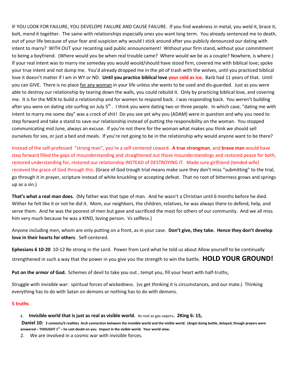IF YOU LOOK FOR FAILURE, YOU DEVELOPE FAILURE AND CAUSE FAILURE. If you find weakness in metal, you weld it, brace it, bolt, mend it together. The same with relationships especially ones you want long term. You already sentenced me to death, out of your life because of your fear and suspicion why would I stick around after you publicly denounced our dating with intent to marry? WITH OUT your recanting said public announcement! Without your firm stand, without your commitment to being a boyfriend. (Where would you be when real trouble came? Where would we be as a couple? Nowhere, is where.) If your real intent was to marry me someday you would would/should have stood firm, covered me with biblical love; spoke your true intent and not dump me. You'd already dropped me in the pit of trash with the wolves, until you practiced biblical love it doesn't matter if I am in WY or ND. **Until you practice biblical love your cold as ice.** Barb had 11 years of that. Until you can GIVE. There is no place for any woman in your life unless she wants to be used and dis-guarded. Just as you were able to destroy our relationship by tearing down the walls, you could rebuild it. Only by practicing biblical love, and covering me. It is for the MEN to build a relationship and for women to respond back. I was responding back. You weren't building after you were on dating site surfing on July  $5<sup>th</sup>$ . I think you were dating two or three people. In which case, "dating me with intent to marry me some day" was a crock of shit! Do you see yet why you (ADAM) were in question and why you need to step forward and take a stand to save our relationship instead of putting the responsibility on the woman. You stopped communicating mid June, always an excuse. If you're not there for the woman what makes you think we should sell ourselves for sex, or just a bed and meals. If you're not going to be in the relationship why would anyone want to be there?

Instead of the self-professed "strong man", you're a self-centered coward. **A true strongman**, and **brave man** would have step forward filled the gaps of misunderstanding and straightened out those misunderstandings and restored peace for both, restored understanding for, restored our relationship INSTEAD of DESTROYING IT. Made sure girlfriend (tended wife) recieved the grace of God through this. (Grace of God trough trial means make sure they don't miss "submitting" to the trial, go through it in prayer, scripture instead of white knuckling or accepting defeat. That no root of bitterness grows and springs up as a sin.)

**That's what a real man does.** {My father was that type of man. And he wasn't a Christian until 6 months before he died. Wither he felt like it or not he did it. Mom, our neighbors, the children, relatives, he was always there to defend, help, and serve them. And he was the poorest of men but gave and sacrificed the most for others of our community. And we all miss him very much because he was a KIND, loving person. Vs selfless.}

Anyone including men, whom are only putting on a front, as in your case. **Don't give, they take. Hence they don't develop love in their hearts for others**. Self-centered.

**Ephesians 6 10-20** 10-12 Be strong in the Lord. Power from Lord what he told us about Allow yourself to be continually strengthened in such a way that the power in you give you the strength to win the battle. **HOLD YOUR GROUND!**

**Put on the armor of God.** Schemes of devil to take you out , tempt you, fill your heart with half-truths,

Struggle with invisible war: spiritual forces of wickedness. (vs get thinking it is circumstances, and our mate.) Thinking everything has to do with Satan on demons or nothing has to do with demons.

#### **5 truths**

**1. Invisible world that is just as real as visible world.** As real as gas vapors**. 2King 6: 15,** 

**Daniel 10: 2 contents/2 realities Arch connection between the invisible world and the visible world. (Angel doing battle, delayed, though prayers were answered – THOUGHT 1st – he cast doubt on you. Impact in the visible world. Your world view.**

2. We are involved in a cosmic war with invisible forces.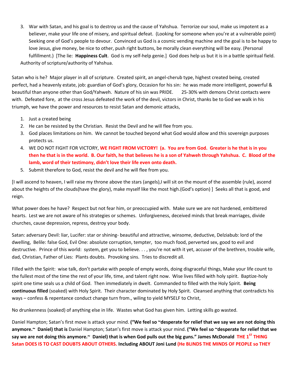3. War with Satan, and his goal is to destroy us and the cause of Yahshua. Terrorize our soul, make us impotent as a believer, make your life one of misery, and spiritual defeat. (Looking for someone when you're at a vulnerable point) Seeking one of God's people to devour. Convinced us God is a cosmic vending machine and the goal is to be happy to love Jesus, give money, be nice to other, push right buttons, be morally clean everything will be easy. (Personal fulfillment.) [The lie: **Happiness Cult**. God is my self-help genie.] God does help us but it is in a battle spiritual field. Authority of scripture/authority of Yahshua.

Satan who is he? Major player in all of scripture. Created spirit, an angel-cherub type, highest created being, created perfect, had a heavenly estate, job: guardian of God's glory, Occasion for his sin: he was made more intelligent, powerful & beautiful than anyone other than God/Yahweh. Nature of his sin was PRIDE. 25-30% with demons Christ contacts were with. Defeated fore, at the cross Jesus defeated the work of the devil, victors in Christ, thanks be to God we walk in his triumph, we have the power and resources to resist Satan and demonic attacks,

- 1. Just a created being
- 2. He can be resisted by the Christian. Resist the Devil and he will flee from you.
- 3. God places limitations on him. We cannot be touched beyond what God would allow and this sovereign purposes protects us.
- 4. WE DO NOT FIGHT FOR VICTORY, **WE FIGHT FROM VICTORY! (a. You are from God. Greater is he that is in you then he that is in the world. B. Our faith, he that believes he is a son of Yahweh through Yahshua. C. Blood of the lamb, word of their testimony, didn't love their life even onto death.**
- 5. Submit therefore to God, resist the devil and he will flee from you.

[I will ascend to heaven, I will raise my throne above the stars (angels),I will sit on the mount of the assemble (rule), ascend about the heights of the clouds(have the glory), make myself like the most high.(God's option) ] Seeks all that is good, and reign.

What power does he have? Respect but not fear him, or preoccupied with. Make sure we are not hardened, embittered hearts. Lest we are not aware of his strategies or schemes. Unforgiveness, deceived minds that break marriages, divide churches, cause depression, repress, destroy your body.

Satan: adversary Devil: liar, Lucifer: star or shining- beautiful and attractive, winsome, deductive, Delziabub: lord of the dwelling, Belile: false God, Evil One: absolute corruption, tempter, too much food, perverted sex, good to evil and destructive. Prince of this world: system, get you to believe. . . , you're not with it yet, accuser of the brethren, trouble wife, dad, Christian, Father of Lies: Plants doubts. Provoking sins. Tries to discredit all.

Filled with the Spirit: wise talk, don't partake with people of empty words, doing disgraceful things, Make your life count to the fullest most of the time the rest of your life, time, and talent right now. Wise lives filled with holy spirit. Baptize-holy spirit one time seals us a child of God. Then immediately in dwelt. Commanded to filled with the Holy Spirit. **Being continuous filled** (soaked) with Holy Spirit. Their character dominated by Holy Spirit. Cleansed anything that contradicts his ways – confess & repentance conduct change turn from., wiling to yield MYSELF to Christ,

No drunkenness (soaked) of anything else in life. Wastes what God has given him. Letting skills go wasted.

Daniel Hampton; Satan's first move is attack your mind. **("We feel so ~desperate for relief that we say we are not doing this anymore.~ Daniel) that is** Daniel Hampton; Satan's first move is attack your mind. **("We feel so ~desperate for relief that we say we are not doing this anymore.~ Daniel) that is when God pulls out the big guns." James McDonald THE 1ST THING Satan DOES IS TO CAST DOUBTS ABOUT OTHERS. Including ABOUT Joni Lund (He BLINDS THE MINDS OF PEOPLE so THEY**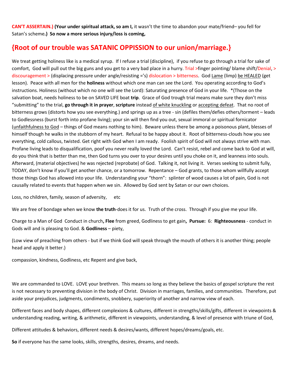**CAN'T ASSERTAIN.) (Your under spiritual attack, so am I,** it wasn't the time to abandon your mate/friend– you fell for Satan's scheme**.) So now a more serious injury/loss is coming,** 

# **{Root of our trouble was SATANIC OPPISSION to our union/marriage.}**

We treat getting holiness like is a medical syrup. If I refuse a trial (discipline), if you refuse to go through a trial for sake of comfort, God will pull out the big guns and you get to a very bad place in a hurry. Trial >finger pointing/ blame shift/Denial, > discouragement > (displacing pressure under angle/resisting ='s) dislocation > bitterness. God Lame (limp) be HEALED (get lesson). Peace with all men for the **holiness** without which one man can see the Lord. You operating according to God's instructions. Holiness (without which no one will see the Lord): Saturating presence of God in your life. \*(Those on the salvation boat, needs holiness to be on SAVED LIFE boat **trip**. Grace of God trough trial means make sure they don't miss "submitting" to the trial, **go through it in prayer**, **scripture** instead of white knuckling or accepting defeat. That no root of bitterness grows (distorts how you see everything.) and springs up as a tree - sin (defiles them/defies others/torment – leads to Godlessness (burst forth into profane living); your sin will then find you out, sexual immoral or spiritual fornicator (unfaithfulness to God – things of God means nothing to him). Beware unless there be among a poisonous plant, blesses of himself though he walks in the stubborn of my heart. Refusal to be happy about it. Root of bitterness-clouds how you see everything, cold callous, twisted. Get right with God when I am ready. Foolish spirit of God will not always strive with man. Profane living leads to disqualification, poof you never really loved the Lord. Can't resist, rebel and come back to God at will, do you think that is better than me, then God turns you over to your desires until you choke on it, and leanness into souls. Afterward, (material objectives) he was rejected (reprobate) of God. Talking it, not living it. Verses seeking to submit fully, TODAY, don't know if you'll get another chance, or a tomorrow. Repentance – God grants, to those whom willfully accept those things God has allowed into your life. Understanding your "thorn": splinter of wood causes a lot of pain, God is not causally related to events that happen when we sin. Allowed by God sent by Satan or our own choices.

Loss, no children, family, season of adversity, etc

We are free of bondage when we know **the truth**-does it for us. Truth of the cross. Through if you give me your life.

Charge to a Man of God Conduct in church**, Flee** from greed, Godliness to get gain**, Pursue:** 6: **Righteousness** - conduct in Gods will and is pleasing to God. & **Godliness** – piety,

(Low view of preaching from others - but if we think God will speak through the mouth of others it is another thing; people head and apply it better.)

compassion, kindness, Godliness, etc Repent and give back,

We are commanded to LOVE. LOVE your brethren. This means so long as they believe the basics of gospel scripture the rest is not necessary to preventing division in the body of Christ. Division in marriages, families, and communities. Therefore, put aside your prejudices, judgments, condiments, snobbery, superiority of another and narrow view of each.

Different faces and body shapes, different complexions & cultures, different in strengths/skills/gifts, different in viewpoints & understanding reading, writing, & arithmetic, different in viewpoints, understanding, & level of presence with triune of God,

Different attitudes & behaviors, different needs & desires/wants, different hopes/dreams/goals, etc.

**So** if everyone has the same looks, skills, strengths, desires, dreams, and needs.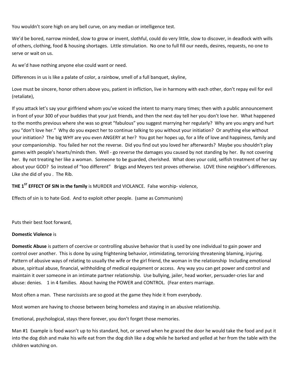You wouldn't score high on any bell curve, on any median or intelligence test.

We'd be bored, narrow minded, slow to grow or invent, slothful, could do very little, slow to discover, in deadlock with wills of others, clothing, food & housing shortages. Little stimulation. No one to full fill our needs, desires, requests, no one to serve or wait on us.

As we'd have nothing anyone else could want or need.

Differences in us is like a palate of color, a rainbow, smell of a full banquet, skyline,

Love must be sincere, honor others above you, patient in infliction, live in harmony with each other, don't repay evil for evil (retaliate),

If you attack let's say your girlfriend whom you've voiced the intent to marry many times; then with a public announcement in front of your 300 of your buddies that your just friends, and then the next day tell her you don't love her. What happened to the months previous where she was so great "fabulous" you suggest marrying her regularly? Why are you angry and hurt you "don't love her." Why do you expect her to continue talking to you without your initiation? Or anything else without your initiation? The big WHY are you even ANGERY at her? You got her hopes up, for a life of love and happiness, family and your companionship. You failed her not the reverse. Did you find out you loved her afterwards? Maybe you shouldn't play games with people's hearts/minds then. Well - go reverse the damages you caused by not standing by her. By not covering her. By not treating her like a woman. Someone to be guarded, cherished. What does your cold, selfish treatment of her say about your GOD? So instead of "too different" Briggs and Meyers test proves otherwise. LOVE thine neighbor's differences. Like she did of you . The Rib.

**THE 1ST EFFECT OF SIN in the family** is MURDER and VIOLANCE. False worship- violence,

Effects of sin is to hate God. And to exploit other people. (same as Communism)

Puts their best foot forward,

#### **Domestic Violence** is

**Domestic Abuse** is pattern of coercive or controlling abusive behavior that is used by one individual to gain power and control over another. This is done by using frightening behavior, intimidating, terrorizing threatening blaming, injuring. Pattern of abusive ways of relating to usually the wife or the girl friend, the woman in the relationship Including emotional abuse, spiritual abuse, financial, withholding of medical equipment or access. Any way you can get power and control and maintain it over someone in an intimate partner relationship. Use bullying, jailer, head worker, persuader-cries liar and abuse: denies. 1 in 4 families. About having the POWER and CONTROL. (Fear enters marriage.

Most often a man. These narcissists are so good at the game they hide it from everybody.

Most women are having to choose between being homeless and staying in an abusive relationship.

Emotional, psychological, stays there forever, you don't forget those memories.

Man #1 Example is food wasn't up to his standard, hot, or served when he graced the door he would take the food and put it into the dog dish and make his wife eat from the dog dish like a dog while he barked and yelled at her from the table with the children watching on.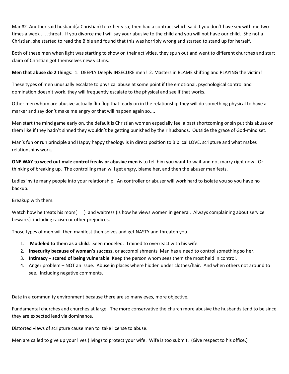Man#2 Another said husband(a Christian) took her visa; then had a contract which said if you don't have sex with me two times a week . .. .threat. If you divorce me I will say your abusive to the child and you will not have our child. She not a Christian, she started to read the Bible and found that this was horribly wrong and started to stand up for herself.

Both of these men when light was starting to show on their activities, they spun out and went to different churches and start claim of Christian got themselves new victims.

**Men that abuse do 2 things**: 1. DEEPLY Deeply INSECURE men! 2. Masters in BLAME shifting and PLAYING the victim!

These types of men unusually escalate to physical abuse at some point if the emotional, psychological control and domination doesn't work. they will frequently escalate to the physical and see if that works.

Other men whom are abusive actually flip flop that: early on in the relationship they will do something physical to have a marker and say don't make me angry or that will happen again so....

Men start the mind game early on, the default is Christian women especially feel a past shortcoming or sin put this abuse on them like if they hadn't sinned they wouldn't be getting punished by their husbands. Outside the grace of God-mind set.

Man's fun or run principle and Happy happy theology is in direct position to Biblical LOVE, scripture and what makes relationships work.

**ONE WAY to weed out male control freaks or abusive men** is to tell him you want to wait and not marry right now. Or thinking of breaking up. The controlling man will get angry, blame her, and then the abuser manifests.

Ladies invite many people into your relationship. An controller or abuser will work hard to isolate you so you have no backup.

Breakup with them.

Watch how he treats his mom() and waitress (is how he views women in general. Always complaining about service beware.) including racism or other prejudices.

Those types of men will then manifest themselves and get NASTY and threaten you.

- 1. **Modeled to them as a child**. Seen modeled. Trained to overreact with his wife.
- 2. **Insecurity because of woman's success,** or accomplishments Man has a need to control something so her.
- 3. **Intimacy – scared of being vulnerable**. Keep the person whom sees them the most held in control.
- 4. Anger problem NOT an issue. Abuse in places where hidden under clothes/hair. And when others not around to see. Including negative comments.

Date in a community environment because there are so many eyes, more objective,

Fundamental churches and churches at large. The more conservative the church more abusive the husbands tend to be since they are expected lead via dominance.

Distorted views of scripture cause men to take license to abuse.

Men are called to give up your lives (living) to protect your wife. Wife is too submit. (Give respect to his office.)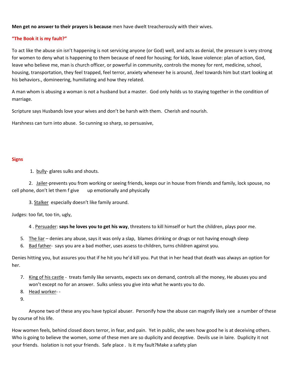#### **Men get no answer to their prayers is because** men have dwelt treacherously with their wives.

#### **"The Book it is my fault?"**

To act like the abuse sin isn't happening is not servicing anyone (or God) well, and acts as denial, the pressure is very strong for women to deny what is happening to them because of need for housing; for kids, leave violence: plan of action, God, leave who believe me, man is church officer, or powerful in community, controls the money for rent, medicine, school, housing, transportation, they feel trapped, feel terror, anxiety whenever he is around, .feel towards him but start looking at his behaviors., domineering, humiliating and how they related.

A man whom is abusing a woman is not a husband but a master. God only holds us to staying together in the condition of marriage.

Scripture says Husbands love your wives and don't be harsh with them. Cherish and nourish.

Harshness can turn into abuse. So cunning so sharp, so persuasive,

#### **Signs**

1. bully- glares sulks and shouts.

2. Jailer-prevents you from working or seeing friends, keeps our in house from friends and family, lock spouse, no cell phone, don't let them f give up emotionally and physically

3. Stalker especially doesn't like family around.

Judges: too fat, too tin, ugly,

- 4 . Persuader: **says he loves you to get his way**, threatens to kill himself or hurt the children, plays poor me.
- 5. The liar denies any abuse, says it was only a slap, blames drinking or drugs or not having enough sleep
- 6. Bad father- says you are a bad mother, uses assess to children, turns children against you.

Denies hitting you, but assures you that if he hit you he'd kill you. Put that in her head that death was always an option for her.

- 7. King of his castle treats family like servants, expects sex on demand, controls all the money, He abuses you and won't except no for an answer. Sulks unless you give into what he wants you to do.
- 8. Head worker- -
- 9.

Anyone two of these any you have typical abuser. Personify how the abuse can magnify likely see a number of these by course of his life.

How women feels, behind closed doors terror, in fear, and pain. Yet in public, she sees how good he is at deceiving others. Who is going to believe the women, some of these men are so duplicity and deceptive. Devils use in laire. Duplicity it not your friends. Isolation is not your friends. Safe place . Is it my fault?Make a safety plan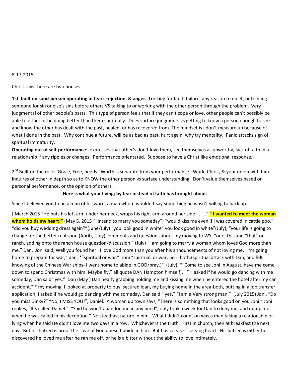#### 8-17-2015

Christ says there are two houses:

**1st built on sand-person operating in fear: rejection, & anger.** Looking for fault, failure, any reason to quiet, or to hang someone for sin or else's sins before others VS talking to or working with the other person through the problem. Very judgmental of other people's pasts. This type of person feels that if they can't cope or love, other people can't possibly be able to either or be doing better than them spiritually. Does surface judgments vs getting to know a person enough to see and know the other has dealt with the past, healed, or has recovered from. The mindset is I don't measure up because of what I done in the past. Why continue a future, will be as bad as past, hurt again, why try mentality. Panic attacks sign of spiritual immaturity.

**Operating out of self-performance**: expresses that other's don't love them, see themselves as unworthy, lack of faith in a relationship if any ripples or changes. Performance orientated. Suppose to have a Christ like emotional response.

2<sup>nd</sup> Built on the rock: Grace, Free, needs. Worth is separate from your performance. Work, Christ, & your union with him. Inquires of other in depth so as to KNOW the other person vs surface understanding. Don't value themselves based on personal performance, or the opinion of others.

#### **Here is what your living; by fear instead of faith has brought about.**

Since I believed you to be a man of his word, a man whom wouldn't say something he wasn't willing to back up.

{ March 2015 "He puts his left arm under her neck, wraps his right arm around her side . . . ." " **I wanted to meet the woman**  whom holds my heart!" (May 5, 2015 "I intend to marry you someday") "would kiss me even if I was covered in cattle poo." "did you buy wedding dress again?"(June/July) "you look good in white" you look good in white"(July), "your life is going to change for the better real soon (April), (July) comments and questions about my moving to WY, "our" this and "that" on ranch, adding onto the ranch house question/discussion." (July) "I am going to marry a woman whom loves God more than me," Dan. Joni said, Well you found her. I love God more than you after his announcements of not loving me. I 'm going home to prepare for war," dan, \*"spiritual or war." Joni "spiritual, or war; no - both.(spiritual attack with Dan, and felt knowing of the Chinese War ships- I went home to abide in GOD/pray.)" (July), \*"Come to see Joni in August, have me come down to spend Christmas with him. Maybe fly." all quote DAN Hampton himself). ." I asked if he would go dancing with me someday, Dan said" yes." Dan (May ) Dan nearly grabbing holding me and kissing me when he entered the hotel after my car accident." \* my moving, I looked at property to buy, secured loan, my buying home in the area-both, putting in a job transfer application, I asked if he would go dancing with me someday, Dan said " yes." "I am a Very strong man." (July 2015) Joni, "Do you miss Dinky?" "No, I MISS YOU!", Daniel. A woman up town says, "There is something that looks good on you Joni." Joni replies, "It's called Daniel." "Said he won't abandon me in any need", only took a week for Dan to deny me, and dump me when he was called in his deception." No steadfast nature in him. What I didn't count on was a man faking a relationship or lying when he said He didn't love me two days in a row. Whichever is the truth. First in church; then at breakfast the next day. But his hatred is proof the Love of God doesn't abide in him. But has very self-serving heart. His hatred is either he discovered he loved me after he ran me off, or he is a bitter without the ability to love intimately.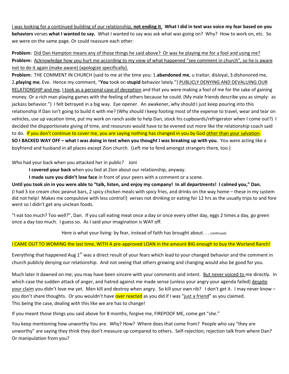I was looking for a continued building of our relationship, **not ending it**. **What I did in text was voice my fear based on you behaviors** verses **what I wanted to say.** What I wanted to say was ask what was going on? Why? How to work on, etc. So we were on the same page. Or could reassure each other.

**Problem:** Did Dan Hampton means any of those things he said above? Or was he playing me for a fool and using me? **Problem:** Acknowledge how you hurt me according to my view of what happened "see comment in church", so he is aware not to do it again (make aware) (apologize specifically).

**Problem:** THE COMMENT IN CHURCH {said to me at the time you: 1.**abandoned me**, u traitor, disloyal, 3.dishonored me, 2.**playing me**, Eve. Hence my comment, "**You** took on **stupid** behavior lately."} PUBLICLY DENYING AND DEVALUING OUR RELATIONSHIP and me, I took as a personal case of deception and that you were making a fool of me for the sake of gaining money. Or a rich man playing games with the feeling of others because he could. (My male friends describe you as simply: as jackass behavior.") I felt betrayed in a big way. Eye opener. An awakener, why should I just keep pouring into this relationship if Dan isn't going to build it with me? (Why should I keep footing most of the expense to travel, wear and tear on vehicles, use up vacation time, put my work on ranch aside to help Dan, stock his cupboards/refrigerator when I come out?) I decided the dispportionate giving of time, and resources would have to be evened out more like the relationship coach said to do. If you don't continue to cover me, you are saying nothing has changed in you by God other than your salvation. **SO I BACKED WAY OFF – what I was doing in text when you thought I was breaking up with you.** You were acting like a boyfriend and husband in all places except Zion church. (Left me to fend amongst strangers there, too.)

Who had your back when you attacked her in public? Joni

**I covered your back** when you lied at Zion about our relationship, anyway.

**I made sure you didn't lose face** in front of your peers with a comment or a scene.

**Until you took sin in you were able to "talk, listen, and enjoy my company! In all departments! I calmed you," Dan.** (I had 3 ice cream choc peanut bars, 2 spicy chicken meals with spicy fries, and drinks on the way home – these in my system did not help! Makes me compulsive with less control!) verses not drinking or eating for 12 hrs as the usually trips to and fore went so I didn't get any unclean foods.

"I eat too much? Too well?", Dan. If you call eating meat once a day or once every other day, eggs 2 times a day, go green once a day too much. I guess so. As I said your imagination is WAY off.

Here is what your living: by fear, instead of faith has brought about. . . continued.

#### I CAME OUT TO WOMING the last time, WITH A pre-approved LOAN in the amount BIG enough to buy the Worland Ranch!

Everything that happened Aug  $1<sup>st</sup>$  was a direct result of your fears which lead to your changed behavior and the comment in church publicly denying our relationship. And not seeing that others growing and changing would also be good for you.

Much later it dawned on me; you may have been sincere with your comments and intent. But never voiced to me directly. In which case the sudden attack of anger, and hatred against me made sense (unless your angry your agenda failed) despite your claim you didn't love me yet. Men kill and destroy when angry. So kill your own rib? I don't get it. I may never know – you don't share thoughts. Or you wouldn't have over reacted as you did if I was "just a friend" as you claimed. This being the case, dealing with this like we are has to change!

If you meant those things you said above for 8 months, forgive me, FIREPOOF ME, come get "she."

You keep mentioning how unworthy You are. Why? How? Where does that come from? People who say "they are unworthy" are saying they think they don't measure up compared to others. Self-rejection; rejection talk from where Dan? Or manipulation from you?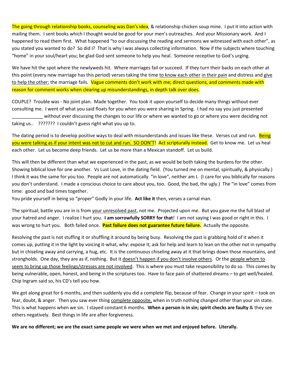The going through relationship books, counseling was Dan's idea, & relationship chicken soup mine. I put it into action with mailing them. I sent books which I thought would be good for your men's outreaches. And your Missionary work. And I happened to read them first. What happened "to our discussing the reading and sermons we witnessed with each other", as you stated you wanted to do? So did I? That is why I was always collecting information. Now if the subjects where touching "home" in your soul/heart you; be glad God sent someone to help you heal. Someone receptive to God's urging.

We have hit the spot where the newlyweds hit. Where marriages fail or succeed. If they turn their backs on each other at this point (every new marriage has this period) verses taking the time to know each other in their pain and distress and give to help the other; the marriage fails. Vague comments don't work with me; direct questions, and comments made with reason for comment works when clearing up misunderstandings, in depth talk over does.

COUPLE? Trouble was - No joint plan. Made together. You took it upon yourself to decide many things without ever consulting me. I went of what you said floats for you when you were sharing in Spring. I had no say you just presented \_\_\_\_\_\_\_\_\_\_\_\_ without ever discussing the changes to our life or where we wanted to go or where you were deciding not taking us.. ??????? I couldn't guess right what you up to.

The dating period is to develop positive ways to deal with misunderstands and issues like these. Verses cut and run. Being you were talking as if your intent was not to cut and run. SO DON'T! Act scripturally instead. Get to know me. Let us heal each other. Let us become deep friends. Let us be more than a Mexican standoff. Let us build.

This will then be different than what we experienced in the past, as we would be both taking the burdens for the other. Showing biblical love for one another. Vs Lust Love, in the dating field. (You turned me on mental, spiritually, & physically.) I think it was the same for you too. People are not automatically "in love", neither am I. (I care for you biblically for reasons you don't understand. I made a conscious choice to care about you, too. Good, the bad, the ugly.) The "in love" comes from time: good and bad times together.

You pride yourself in being so "proper" Godly in your life. **Act like it** then, verses a carnal man.

The spiritual; battle you are in is from your unresolved past, not me. Projected upon me. But you gave me the full blast of your hatred and anger. I realize I hurt you. **I am sorrowfully SORRY for that**! I am not saying I was good or right in this. I was wrong to hurt you. Both failed once. **Past failure does not guarantee future failure.** Actually the opposite.

Resolving the past is not stuffing it or shuffling it around by being busy. Resolving the past is grabbing hold of it when it comes up, putting it in the light by voicing it-what, why: expose it, ask for help and learn to lean on the other not in sympathy but in chiseling away and carrying, a hug, etc. It is the continuous chiseling away at it that brings down those mountains, and strongholds. One day, they are as if, nothing. But it doesn't happen if you don't involve others. Or the people whom to seem to bring up those feelings/stresses are not involved. This is where you must take responsibility to do so. This comes by being vulnerable, open, honest, and being in the scriptures too. Have to face pain of shattered dreams – to get well/healed. Chip Ingram said so, his CD's tell you how.

We got along great for 6 months, and then suddenly you did a complete flip, because of fear. Change in your spirit – took on fear, doubt, & anger. Then you saw ever thing complete opposite, when in truth nothing changed other than your sin state. This is what happens when we sin. I stayed constant 6 months. **When a person is in sin; spirit checks are faulty** & they see others negatively. Best things in life are after forgiveness.

**We are no different; we are the exact same people we were when we met and enjoyed before. Literally.**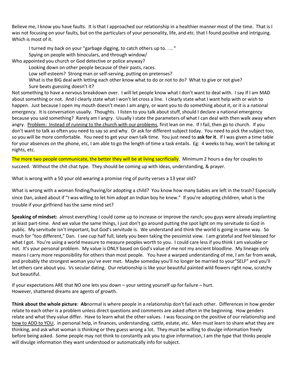Believe me, I know you have faults. It is that I approached our relationship in a healthier manner most of the time. That is I was not focusing on your faults, but on the particulars of your personality, life, and etc. that I found positive and intriguing. Which is most of it.

I turned my back on your "garbage digging, to catch others up to. . .. " Spying on people with binoculars, and through window/ Who appointed you church or God detective or police anyway?

Looking down on other people because of their pasts, races.

Low self-esteem? Strong man or self-serving, putting on pretenses?

What is the BIG deal with letting each other know what to do or not to do? What to give or not give? Sure beats guessing doesn't it?

Not something to have a nervous breakdown over. I will let people know what I don't want to deal with. I say if I am MAD about something or not. And I clearly state what I won't let cross a line. I clearly state what I want help with or wish to happen. Just because I open my mouth doesn't mean I am angry, or want you to do something about it, or it is a national emergency. It is conversation usually. Thoughts. I listen to you talk about stuff, should I declare a national emergency because you said something? Rarely am I angry. Usually I state the parameters of what I can deal with then walk away when angry. Problem: Instead of running to the church with our problems, first lean on me. If I fail, then go to church. If you don't want to talk as often you need to say so and why. Or ask for different subject today. You need to pick the subject too, so you will be more comfortable. You need to get your own talk time. You just need to **ask for it**. If I was given a time table for your absences on the phone, etc, I am able to go the length of time a task entails. Eg: 4 weeks to hay, won't be talking at nights, etc.

The more two people communicate, the better they will be at living sacrificially. Minimum 2 hours a day for couples to succeed. Without the chit chat type. They should be coming up with ideas, understanding, & prayer.

What is wrong with a 50 your old wearing a promise ring of purity verses a 13 year old?

What is wrong with a woman finding/having/or adopting a child? You know how many babies are left in the trash? Especially since Dan, asked about if "I was willing to let him adopt an Indian boy he knew." If you're adopting children, what is the trouble if your girlfriend has the same mind set?

**Speaking of mindset:** almost everything I could come up to increase or improve the ranch; you guys were already implanting at least part-time. And we value the same things, I just don't go around putting the spot light on my servitude to God in public. My servitude isn't important, but God's servitude is. We understand and think the world is going in same way. So much for "too different," Dan. I see cup half full, lately you been taking the pessimist view. I am grateful and feel blessed for what I got. You're using a world measure to measure peoples worth to you. I could care less if you think I am valuable or not. It's your personal problem. My value is ONLY based on God's value of me not my ancient bloodline. My lineage only means I carry more responsibility for others than most people. You have a warped understanding of me, I am far from weak, and probably the strongest woman you've ever met. Maybe someday you'll no longer be married to your"SELF" and you'll let others care about you. Vs secular dating. Our relationship is like your beautiful painted wild flowers right now, scratchy but beautiful.

If your expectations ARE that NO one lets you down – your setting yourself up for failure – hurt. However, shattered dreams are agents of growth.

**Think about the whole picture**: **Ab**normal is where people in a relationship don't fail each other. Differences in how gender relate to each other is a problem unless direct questions and comments are asked often in the beginning. How genders relate and what they value differ. Have to learn what the other values. I was focusing on the positive of our relationship and how to ADD to YOU, in personal help, in finances, understanding, cattle, estate, etc. Men must learn to share what they are thinking, and ask what woman is thinking or they guess wrong a lot. They must be willing to divulge information freely before being asked. Some people may not think to constantly ask you to give information, I am the type that thinks people will divulge information they want understood or automatically info for subject.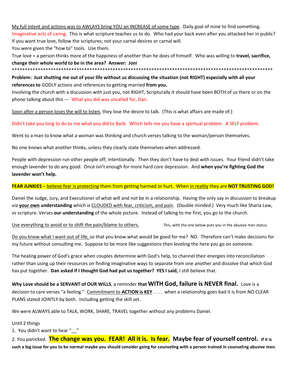My full intent and actions was to AWLAYS bring YOU an INCREASE of some type. Daily goal of mine to find something. Imaginative acts of caring. This is what scripture teaches us to do. Who had your back even after you attacked her in public? If you want true love, follow the scriptures; not your carnal desires or carnal will.

You were given the "how to" tools. Use them.

True love = a person thinks more of the happiness of another than he does of himself. Who was willing to **travel, sacrifice, change their whole world to be in the area? Answer: Joni**

\*\*\*\*\*\*\*\*\*\*\*\*\*\*\*\*\*\*\*\*\*\*\*\*\*\*\*\*\*\*\*\*\*\*\*\*\*\*\*\*\*\*\*\*\*\*\*\*\*\*\*\*\*\*\*\*\*\*\*\*\*\*\*\*\*\*\*\*\*\*\*\*\*\*\*\*\*\*\*\*\*\*\*\*\*\*\*\*\*\*\*\*\*\*\*\*\*\*\*\*\*

**Problem: Just shutting me out of your life without us discussing the situation (not RIGHT) especially with all your references to** GODLY actions and references to getting married **from you.**

Involving the church with a discussion with just you, not RIGHT, Scripturally it should have been BOTH of us there or on the phone talking about this --- What you did was uncalled for, Dan.

Soon after a person loses the will to listen, they lose the desire to talk. (This is what affairs are made of.)

Didn't take you long to do to me what you did to Barb. Which tells me you have a spiritual problem. A SELF problem.

Went to a man to know what a woman was thinking and church verses talking to the woman/person themselves.

No one knows what another thinks, unless they clearly state themselves when addressed.

People with depression run other people off; intentionally. Then they don't have to deal with issues. Your friend didn't take enough lavender to do any good. Once isn't enough for more hard core depression. And **when you're fighting God the lavender won't help.**

#### **FEAR JUNKIES** – believe fear is protecting them from getting harmed or hurt. When in reality they are **NOT TRUSTING GOD!**

Daniel the Judge, Jury, and Executioner of what will and not be in a relationship. Having the only say in discussion to breakup via **your own understanding** which is CLOUDED with fear, criticism, and pain. (Double minded.) Very much like Sharia Law, vs scripture. Verses **our understanding** of the whole picture. Instead of talking to me first, you go to the church.

Use everything to avoid or to shift the pain/blame to others. This, with the one below puts you in the abusive man status.

Do you know what I want out of life, so that you know what would be good for me? NO. Therefore can't make decisions for my future without consulting me. Suppose to be more like suggestions then leveling the here you go on someone.

The healing power of God's grace when couples determine with God's help, to channel their energies into reconciliation rather than using up their resources on finding imaginative ways to separate from one another and dissolve that which God has put together. **Dan asked if I thought God had put us together? YES I said,** I still believe that.

**Why Love should be a SERVANT of OUR WILLS**, a reminder **that WITH God, failure is NEVER final.** Love is a decision to care verses "a feeling." Commitment to **ACTION is KEY** . . . . when a relationship goes bad it is from NO CLEAR PLANS stated JOINTLY by both. Including getting the skill set.

We were ALWAYS able to TALK, WORK, SHARE, TRAVEL together without any problems Daniel.

Until 2 things

1. You didn't want to hear "

2. You panicked. **The change was you. FEAR! All it is. Is fear. Maybe fear of yourself control. If it is such a big issue for you to be normal maybe you should consider going for counseling with a person trained in counseling abusive men.**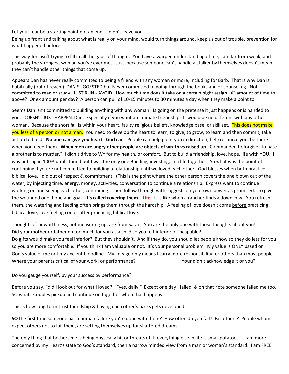Let your fear be a starting point not an end. I didn't leave you.

Being up front and talking about what is really on your mind, would turn things around, keep us out of trouble, prevention for what happened before.

This way Joni isn't trying to fill in all the gaps of thought. You have a warped understanding of me, I am far from weak, and probably the strongest woman you've ever met. Just because someone can't handle a stalker by themselves doesn't mean they can't handle other things that come up.

Appears Dan has never really committed to being a friend with any woman or more, including for Barb. That is why Dan is habitually (out of reach.) DAN SUGGESTED but Never committed to going through the books and or counseling. Not committed to read or study. JUST RUN - AVOID. How much time does it take on a certain night assign "X" amount of time to above? Or ex amount per day? A person can pull of 10-15 minutes to 30 minutes a day when they make a point to.

Seems Dan isn't committed to building anything with any woman. Is going on the pretense it just happens or is handed to you. DOESN'T JUST HAPPEN, Dan. Especially if you want an intimate friendship. It would be no different with any other woman. Because the short fall is within your heart, faulty religious beliefs, knowledge base, or skill set. This does not make you less of a person or not a man. You need to develop the heart to learn, to give, to grow, to learn and then commit, take action to build. **No one can give you heart. God can**. People can help point you in direction, help resource you, be there when you need them. **When men are angry other people are objects of wrath vs raised up**. Commanded to forgive "to hate a brother is to murder." I didn't drive to WY for my health, or comfort. But to build a friendship, love, hope, life with YOU. I was putting in 100% until I found out I was the only one Building, investing, in a life together. So what was the point of continuing if you're not committed to building a relationship until we loved each other. God blesses when both practice biblical love, I did out of respect & commitment. (This is the point where the other person covers the one blown out of the water, by injecting time, energy, money, activities, conversation to continue a relationship. Express want to continue working on and seeing each other, continuing. Then follow through with suggests on your own power as promised. To give the wounded one, hope and goal. **It's called covering them**. **Life.** It is like when a rancher finds a down cow. You refresh them, the watering and feeding often brings them through the hardship. A feeling of love doesn't come before practicing biblical love, love feeling comes after practicing biblical love.

Thoughts of unworthiness, not measuring up, are from Satan. You are the only one with those thoughts about you! Did your mother or father do too much for you as a child so you felt inferior or incapable? Do gifts would make you feel inferior? But they shouldn't. And if they do, you should let people know so they do less for you so you are more comfortable. If you think I am valuable or not. It's your personal problem. My value is ONLY based on God's value of me not my ancient bloodline. My lineage only means I carry more responsibility for others than most people. Where your parents critical of your work, or performance? Your Your didn't acknowledge it or you?

Do you gauge yourself, by your success by performance?

Before you say, "did I look out for what I loved? " "yes, daily." Except one day I failed, & on that note someone failed me too. SO what. Couples pickup and continue on together when that happens.

This is how long-term trust friendship & having each other's backs gets developed.

**SO** the first time someone has a human failure you're done with them? How often do you fail? Fail others? People whom expect others not to fail them, are setting themselves up for shattered dreams.

The only thing that bothers me is being physically hit or threats of it; everything else in life is small potatoes. I am more concerned by my Heart's state to God's standard, then a narrow minded view from a man or woman's standard. I am FREE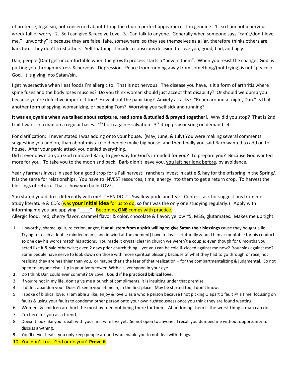of pretense, legalism, not concerned about fitting the church perfect appearance. I'm genuine: 1. so I am not a nervous wreck full of worry. 2. So I can give & receive Love. 3. Can talk to anyone. Generally when someone says "can't/don't love me." "unworthy" it because they are false, fake, somewhere; so they see themselves as a liar, therefore thinks others are liars too. They don't trust others. Self-loathing. I made a conscious decision to Love you, good, bad, and ugly.

Dan, people (Dan) get uncomfortable when the growth process starts a "new in them". When you resist the changes God is putting you through = stress & nervous. Depression. Peace from running away from something/(not trying) is not "peace of God. It is giving into Satan/sin.

I get hyperactive when I eat foods I'm allergic to. That is not nervous. The disease you have, is it a form of arthritis where spine fuses and the body loses muscles? Do you think woman should just accept that disability? Or should we dump you because you're defective imperfect too? How about the panicking? Anxiety attacks? "Roam around at night, Dan." Is that another term of spying, womanizing, or peeping Tom? Worrying yourself sick and running?

**It was enjoyable when we talked about scripture, read some & studied & prayed together!.** Why did you stop? That is 2nd trait I want in a man on a regular bases.  $1^{\text{st}}$  born again – salvation.  $3^{\text{rd}}$  drop pray or song on demand. 4..

For clarification: I never stated I was adding onto your house. (May, June, & July) You were making several comments suggesting you add on, than about mistake old people make big house, and then finally you said Barb wanted to add on to house. After your panic attack you denied everything.

Did it ever dawn on you God removed Barb, to give way for God's intended for you? To prepare you? Because God wanted more for you. To take you to the moon and back. Barb didn't leave you, you left her long before, by avoidance.

Yearly farmers invest in seed for a good crop for a Fall harvest; ranchers invest in cattle & hay for the offspring in the Spring/. It is the same for relationships. You have to INVEST resources, time, energy into them to get a return crop. To harvest the blessings of return. That is how you build LOVE.

You stated you'd do it differently with me! THEN DO IT. Swallow pride and fear. Confess, ask for suggestions from me. Study literature & CD's (was **your initial idea** for us to do, so far I was the only one studying regularly.) Apply with informing me you are applying "\_\_\_\_". Becoming **ONE** comes with practice. Allergic food: red, cherry flavor, caramel flavor & color, chocolate & flavor, yellow #5, MSG, glutamates. Makes me up tight.

- 1. Unworthy, shame, guilt, rejection, anger, fear **all stem from a spirit willing to give Satan their blessings** cause they bought a lie. Trying to teach a double minded man (sand in wind at the moment) have to love scripturally & hold him accountable for his conduct so one day his words match his actions. You made it crystal clear in church we weren't a couple; even though for 6 months you acted like it & said otherwise; even 2 days prior church thing – yet you can be cold & closed against me now? Your sins against me? Some people have nerve to look down on those with more spiritual blessing because of what they had to go through or race, not realizing they are healthier than you, or maybe that's the fear of that realization – for the compartmentalizing & judgmental. So not open to anyone else. Up in your ivory tower. With a silver spoon in your eye.
- **2.** Do I think Dan could ever commit? Or Love. **Could if he practiced biblical love.**
- 3. If you're not in my life, don't give me a bunch of compliments, it is insulting under that premise.
- 4. I didn't abandon you! Doesn't seem you let me in, in the first place. May be started too, I don't know.
- 5. I spoke of biblical love. (I am able 2 like, enjoy & love U as a whole person because I not picking U apart 1 fault @ a time, focusing on faults & using your faults to condemn other person onto your own righteousness once you think they are found wanting.
- 6. Women, & children are hurt the most by men not being there for them. Abandoning them is the worst thing a man can do.
- 7. I'm here for you as a friend.
- 8. Doesn't look like your dealt with your first wife loss yet. So not open to anyone. I recall you dumped me without opportunity to discuss anything.
- **9.** You'll never heal if you only keep people around who enable you to not deal with things.
- 10. You don't trust God or do you? **Prove it.**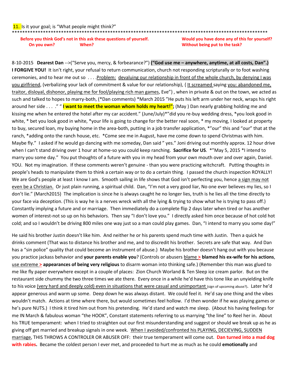11. Is it your goal; is "What people might think?"

**Before you think God's not in this ask these questions of yourself. Would you have done any of this for yourself? On you own? When? Without being put to the task?**

8-10-2015 **Dearest Dan** -->("Serve you, mercy, & forbearance?") **("God use me – anywhere, anytime, at all costs, Dan".) I FORGIVE YOU!** It isn't right, your refusal to return communication, church not responding scripturally or to foot washing ceremonies, and to hear me out so . . . .Problem: devaluing our relationship in front of the whole church, by denying I was you girlfriend, (verbalizing your lack of commitment & value for our relationship), { It screamed saying you: abandoned me, traitor, disloyal, dishonor, playing me for fool/playing rich man games, Eve"} , when in private & out on the town, we acted as such and talked to hopes to marry-both, (\*Dan comments) \*March 2015 "He puts his left arm under her neck, wraps his right around her side . . . ." " **I want to meet the woman whom holds my heart!";** (May ) Dan nearly grabbing holding me and kissing me when he entered the hotel after my car accident." (June/July)\*"did you re-buy wedding dress, \*you look good in white, \* bet you look good in white, \*your life is going to change for the better real soon, \* my moving, I looked at property to buy, secured loan, my buying home in the area-both, putting in a job transfer application, \*"our" this and "our" that at the ranch, \*adding onto the ranch house, etc. \*Come see me in August, have me come down to spend Christmas with him. Maybe fly." I asked if he would go dancing with me someday, Dan said " yes." Joni driving out monthly approx. 12 hour drive when I can't stand driving over 1 hour at home-so you could keep ranching. **Sacrifice for US**. \*"May 5, 2015 \*I intend to marry you some day." You put thoughts of a future with you in my head from your own mouth over and over again, Daniel. YOU. Not my imagination. If these comments weren't genuine - than you were practicing witchcraft. Putting thoughts in people's heads to manipulate them to think a certain way or to do a certain thing. I passed the church inspection ROYALLY! We are God's people at least I know I am. Smooth sailing in life shows that God isn't perfecting you, hence a sign may not even be a Christian. Or just plain running, a spiritual child. Dan, "I'm not a very good liar, No one ever believes my lies, so I don't lie." (March2015) The implication is since he is always caught he no longer lies, truth is he lies all the time directly to your face via deception. (This is way he is a nerves wreck with all the lying & trying to show what he is trying to pass off.) Constantly implying a future and or marriage. Then immediately do a complete flip 2 days later when tired or has another women of interest-not so up on his behaviors. Then say "I don't love you." I directly asked him once because of hot cold hot cold; and so I wouldn't be driving 800 miles one way just so a man could play games. Dan, "I intend to marry you some day!"

\*\*\*\*\*\*\*\*\*\*\*\*\*\*\*\*\*\*\*\*\*\*\*\*\*\*\*\*\*\*\*\*\*\*\*\*\*\*\*\*\*\*\*\*\*\*\*\*\*\*\*\*\*\*\*\*\*\*\*\*\*\*\*\*\*\*\*\*\*\*\*\*\*\*\*\*\*\*\*\*\*\*\*\*\*\*\*\*\*\*\*\*\*\*\*\*\*\*\*

He said his brother Justin doesn't like him. And neither he or his parents spend much time with Justin. Then a quick he drinks comment (That was to distance his brother and me, and to discredit his brother. Secrets are safe that way. And Dan has a "sin police" quality that could become an instrument of abuse.) Maybe his brother doesn't hang out with you because you practice jackass behavior and **your parents enable you**? (Controls or abusers blame **> blamed his ex-wife for his actions**, use extreme **> appearances of being very religious** to disarm woman into thinking safe.) (Remember this man was glued to me like fly paper everywhere except in a couple of places: Zion Church Worland & Ten Sleep ice cream parlor. But on the restaurant side chummy the two three times we ate there. Every once in a while he'd have this tone like an unyielding knife to his voice (very hard and deeply cold) even in situations that were casual and unimportant (sign of upcoming abuse?). Later he'd appear generous and warm up some. Deep down he was always distant. We could feel it. He'd say one thing and the vibes wouldn't match. Actions at time where there, but would sometimes feel hollow. I'd then wonder if he was playing games or he's pure NUTS.) I think it tired him out from his pretending. He'd stand and watch me sleep. (About his having feelings for me IN March & fabulous woman "the HOOK", Constant statements referring to us marrying "the line" to Reel her in. About his TRUE temperament: when I tried to straighten out our first misunderstanding and suggest or should we break up as he as giving off get married and breakup signals in one week. When I avoided/confronted his PLAYING, DECIEVING, SUDDEN marriage, THIS THROWS A CONTROLER OR ABUSER OFF: their true temperament will come out. **Dan turned into a mad dog with rabies.** Became the coldest person I ever met, and proceeded to hurt me as much as he could **emotionally** and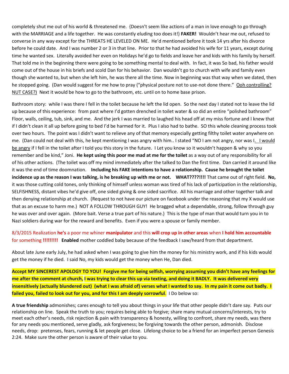completely shut me out of his world & threatened me. {Doesn't seem like actions of a man in love enough to go through with the MARRIAGE and a life together. He was constantly eluding too does it!} **FAKER!** Wouldn't hear me out, refused to converse in any way except for the THREATS HE LEVELED ON ME. He'd mentioned before it took 14 yrs after his divorce before he could date. And I was number 2 or 3 in that line. Prior to that he had avoided his wife for 11 years, except during time he wanted sex. Literally avoided her even on Holidays he'd go to fields and leave her and kids with his family by herself. That told me in the beginning there were going to be something mental to deal with. In fact, it was So bad, his father would come out of the house in his briefs and scold Dan for his behavior. Dan wouldn't go to church with wife and family even though she wanted to, but when she left him, he was there all the time. Now in beginning was that way when we dated, then he stopped going. (Dan would suggest for me how to pray ("physical posture not to use-not done there." Ooh controlling? NUT CASE?) Next it would be how to go to the bathroom, etc. until on to home base prison.

Bathroom story: while I was there I fell in the toilet because he left the lid open. So the next day I stated not to leave the lid up because of this experience: from past where I'd gotten drenched in toilet water & so did an entire "polished bathroom" Floor, walls, ceiling, tub, sink, and me. And the jerk I was married to laughed his head off at my miss fortune and I knew that if I didn't clean it all up before going to bed I'd be harmed for it. Plus I also had to bathe. SO this whole cleaning process took over two hours. The point was I didn't want to relieve any of that memory especially getting filthy toilet water anywhere on me. (Dan could not deal with this, he kept mentioning I was angry with him.. I stated "NO I am not angry, nor was I. I would be angry if I fell in the toilet after I told you this story in the future. I Let you know so it wouldn't happen & why so you remember and be kind," Joni. **He kept using this poor me mad at me for the toilet** as a way out of any responsibility for all of his other actions. (The toilet was off my mind immediately after the talked to Dan the first time. Dan carried it around like it was the end of time doomnation. **Including his FAKE intentions to have a relationship. Cause he brought the toilet incidence up as the reason I was talking, is he breaking up with me or not. WHAT????!!!!** That came out of right field. **No,**  it was those cutting cold tones, only thinking of himself unless woman was tired of his lack of participation in the relationship, SELFISHNESS, distant vibes he'd give off, one sided giving & one sided sacrifice. All his marriage and other together talk and then denying relationship at church. (Request to not have our picture on facebook under the reasoning that my X would use that as an excuse to harm me.) NOT A FOLLOW THROUGH GUY! He bragged what a dependable, strong, follow through guy he was over and over again. (More bait. Verse a true part of his nature.) This is the type of man that would turn you in to Nazi soldiers during war for the reward and benefits. Even if you were a spouse or family member.

8/3/2015 Realization **he's** a poor me whiner **manipulator** and this **will crop up in other areas** when **I hold him accountable** for something **!!!!!!!!! Enabled** mother coddled baby because of the feedback I saw/heard from that department.

About late June early July, he had asked when I was going to give him the money for his ministry work, and if his kids would get the money if he died. I said No, my kids would get the money when He, Dan died.

**Accept MY SINCEREST APOLOGY TO YOU! Forgive me for being selfish, worrying assuming you didn't have any feelings for me after the comment at church, I was trying to clear this up via texting, and doing it BADLY. It was delivered very insensitively (actually blundered out) (what I was afraid of) verses what I wanted to say. In my pain it come out badly. I failed you, failed to look out for you, and for this I am deeply sorrowful**. I Do below so:

**A true friendship** admonishes; cares enough to tell you about things in your life that other people didn't dare say. Puts our relationship on line. Speak the truth to you; requires being able to forgive; share many mutual concerns/interests, try to meet each other's needs, risk rejection & pain with transparency & honesty, willing to confront, share my needs, was there for any needs you mentioned, serve gladly, ask forgiveness; be forgiving towards the other person, admonish. Disclose needs, drop: pretenses, fears, running & let people get close. Lifelong choice to be a friend for an imperfect person Genesis 2:24. Make sure the other person is aware of their value to you.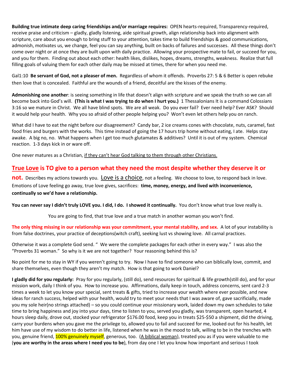**Building true intimate deep caring friendships and/or marriage requires:** OPEN hearts-required, Transparency-required, receive praise and criticism – gladly, gladly listening, aide spiritual growth, align relationship back into alignment with scripture, care about you enough to bring stuff to your attention, takes time to build friendships & good communications, admonish, motivates us, we change, feel you can say anything, built on backs of failures and successes. All these things don't come over night or at once they are built upon with daily practice. Allowing your prospective mate to fail, or succeed for you, and you for them. Finding out about each other: health likes, dislikes, hopes, dreams, strengths, weakness. Realize that full filling goals of valuing them for each other daily may be missed at times, there for when you need me.

Gal1:10 **Be servant of God, not a pleaser of men.** Regardless of whom it offends. Proverbs 27: 5 & 6 Better is open rebuke then love that is concealed. Faithful are the wounds of a friend, deceitful are the kisses of the enemy.

**Admonishing one another**: is seeing something in life that doesn't align with scripture and we speak the truth so we can all become back into God's will. **(This is what I was trying to do when I hurt you.)** 1 Thessalonians It is a command Colossians 3:16 so we mature in Christ. We all have blind spots. We are all weak. Do you ever fail? Ever need help? Ever ASK? Should it would help your health. Why you so afraid of other people helping you? Won't even let others help you on ranch.

What did I have to eat the night before our disagreement? Candy bar, 2 ice creams cones with chocolate, nuts, caramel, fast food fries and burgers with the works. This time instead of going the 17 hours trip home without eating, I ate. Helps stay awake. A big no, no. What happens when I get too much glutamates & additives? Until it is out of my system. Chemical reaction. 1-3 days kick in or ware off.

One never matures as a Christian, if they can't hear God talking to them through other Christians.

### **True Love is TO give to a person what they need the most despite whether they deserve it or**

**not.** Describes my actions towards you. Love is a choice, not a feeling. We choose to love, to respond back in love. Emotions of Love feeling go away, true love gives, sacrifices: **time, money, energy, and lived with inconvenience, continually so we'd have a relationship.**

**You can never say I didn't truly LOVE you. I did, I do. I showed it continually.** You don't know what true love really is.

You are going to find, that true love and a true match in another woman you won't find.

**The only thing missing in our relationship was your commitment, your mental stability, and sex.** A lot of your instability is from false doctrines, your practice of deceptions(witch craft), seeking lust vs showing love. All carnal practices.

Otherwise it was a complete God send. " We were the complete packages for each other in every way." I was also the "Proverbs 31 woman." So why is it we are not together? Your reasoning behind this is?

No point for me to stay in WY if you weren't going to try. Now I have to find someone who can biblically love, commit, and share themselves, even though they aren't my match. How is that going to work Daniel?

**I gladly did for you regularly:** Pray for you regularly, (still do), send resources for spiritual & life growth(still do), and for your mission work, daily I think of you. How to increase you. Affirmations, daily keep in touch, address concerns, sent card 2-3 times a week to let you know your special, sent treats & gifts, tried to increase your wealth where ever possible, and new ideas for ranch success, helped with your health, would try to meet your needs that I was aware of, gave sacrificially, made you my sole heir(no strings attached) – so you could continue your missionary work, laided down my own schedules to take time to bring happiness and joy into your days, time to listen to you, served you gladly, was transparent, open hearted, 4 hours sleep daily, drove out, stocked your refrigerator \$176.00 food, keep you in treats \$25-\$50 a shipment, did the driving, carry your burdens when you gave me the privilege to, allowed you to fail and succeed for me, looked out for his health, let him have use of my wisdom to do better in life, listened when he was in the mood to talk, willing to be in the trenches with you, genuine friend, 100% genuinely myself, generous, too. (A biblical woman), treated you as if you were valuable to me (**you are worthy in the areas where I need you to be**), from day one I let you know how important and serious I took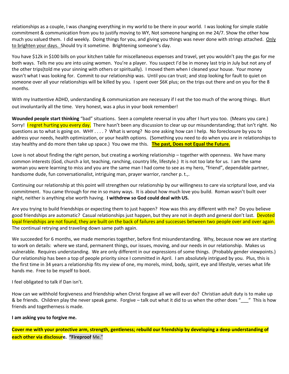relationships as a couple, I was changing everything in my world to be there in your world. I was looking for simple stable commitment & communication from you to justify moving to WY, Not someone hanging on me 24/7. Show the other how much you valued them. I did weekly. Doing things for you, and giving you things was never done with strings attached. Only to brighten your days. Should try it sometime. Brightening someone's day.

You have \$12k in \$100 bills on your kitchen table for miscellaneous expenses and travel, yet you wouldn't pay the gas for me both ways. Tells me you are into using women. You're a player. You suspect I'd be in money last trip in July but not any of the other trips(told me your sinning with others or spiritually). I moved them when I cleaned your house. Your money wasn't what I was looking for. Commit to our relationship was. Until you can trust; and stop looking for fault to quiet on someone over all your relationships will be killed by you. I spent over \$6K plus; on the trips out there and on you for the 8 months.

With my Inattentive ADHD, understanding & communication are necessary if I eat the too much of the wrong things. Blurt out involuntarily all the time. Very honest, was a plus in your book remember!

**Wounded people start thinking** "bad" situations. Seen a complete reversal in you after I hurt you too. (Means you care.) Sorry! **I regret hurting you every day.** There hasn't been any discussion to clear up our misunderstanding; that isn't right. No questions as to what is going on. WHY . . . . ? What is wrong? No one asking how can I help. No foreclosure by you to address your needs, health optimization, or your health options. (Something you need to do when you are in relationships to stay healthy and do more then take up space.) You owe me this. **The past, Does not Equal the Future.**

Love is not about finding the right person, but creating a working relationship – together with openness. We have many common interests (God, church a lot, teaching, ranching, country life, lifestyle.) It is not too late for us. I am the same woman you were learning to miss and you are the same man I had come to see as my hero, "friend", dependable partner, handsome dude, fun conversationalist, intriguing man, prayer warrior, rancher p. t.,.

Continuing our relationship at this point will strengthen our relationship by our willingness to care via scriptural love, and via commitment. You came through for me in so many ways. It is about how much love you build. Roman wasn't built over night, neither is anything else worth having. **I withdrew so God could deal with US.**

Are you trying to build friendships or expecting them to just happen? How was this any different with me? Do you believe good friendships are automatic? Casual relationships just happen, but they are not in depth and general don't last. Devoted loyal friendships are not found, they are built on the back of failures and successes between two people over and over again. The continual retrying and traveling down same path again.

We succeeded for 6 months, we made memories together, before first misunderstanding. Why, because now we are starting to work on details: where we stand, permanent things, our issues, moving, and our needs in our relationship. Makes us vulnerable. Requires understanding. We are only different in our expressions of some things. (Probably gender viewpoints.) Our relationship has been a top of people priority since I committed in April. I am absolutely intrigued by you. Plus, this is the first time in 34 years a relationship fits my view of one, my morels, mind, body, spirit, eye and lifestyle, verses what life hands me. Free to be myself to boot.

I feel obligated to talk if Dan isn't.

How can we withhold forgiveness and friendship when Christ forgave all we will ever do? Christian adult duty is to make up & be friends. Children play the never speak game. Forgive – talk out what it did to us when the other does "\_\_" This is how friends and togetherness is made.

#### **I am asking you to forgive me.**

**Cover me with your protective arm, strength, gentleness; rebuild our friendship by developing a deep understanding of each other via disclosure. "Fireproof** Me."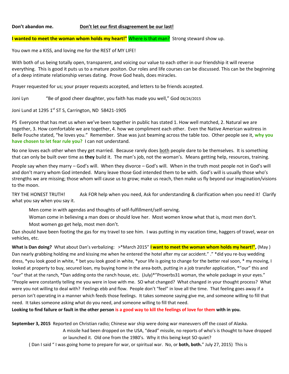**Don't abandon me. Don't let our first disagreement be our last!**

**I wanted to meet the woman whom holds my heart!"** Where is that man? Strong steward show up.

You own me a KISS, and loving me for the REST of MY LIFE!

With both of us being totally open, transparent, and voicing our value to each other in our friendship it will reverse everything. This is good it puts us to a mature positon. Our roles and life courses can be discussed. This can be the beginning of a deep intimate relationship verses dating. Prove God heals, does miracles.

Prayer requested for us; your prayer requests accepted, and letters to be friends accepted.

Joni Lyn "Be of good cheer daughter, you faith has made you well," God 08/24/2015

Joni Lund at 1295  $1<sup>st</sup>$  ST S, Carrington, ND 58421-1905

PS Everyone that has met us when we've been together in public has stated 1. How well matched, 2. Natural we are together, 3. How comfortable we are together, 4. how we compliment each other. Even the Native American waitress in Belle Fouche stated, "he loves you." Remember. Shae was just beaming across the table too. Other people see it, **why you have chosen to let fear rule you?** I can not understand.

No one loves each other when they get married. Because rarely does both people dare to be themselves. It is something that can only be built over time as **they** build it. The man's job, not the woman's. Means getting help, resources, training.

People say when they marry – God's will. When they divorce – God's will. When in the truth most people not in God's will and don't marry whom God intended. Many leave those God intended them to be with. God's will is usually those who's strengths we are missing; those whom will cause us to grow; make us reach, then make us fly beyond our imagination/visions to the moon.

TRY THE HONEST TRUTH! Ask FOR help when you need, Ask for understanding & clarification when you need it! Clarify what you say when you say it.

Men come in with agendas and thoughts of self-fulfillment/self-serving.

Woman come in believing a man does or should love her. Most women know what that is, most men don't.

Most women go get help, most men don't.

Dan should have been footing the gas for my travel to see him. I was putting in my vacation time, haggers of travel, wear on vehicles, etc.

**What is Dan doing?** What about Dan's verbalizing: >\*March 2015" **I want to meet the woman whom holds my heart!",** (May ) Dan nearly grabbing holding me and kissing me when he entered the hotel after my car accident." ." \*did you re-buy wedding dress, \*you look good in white, \* bet you look good in white, \*your life is going to change for the better real soon, \* my moving, I looked at property to buy, secured loan, my buying home in the area-both, putting in a job transfer application, \*"our" this and "our" that at the ranch, \*Dan adding onto the ranch house, etc. (July)\*"Proverbs31 woman, the whole package in your eyes." "People were constantly telling me you were in love with me. SO what changed? What changed in your thought process? What were you not willing to deal with? Feelings ebb and flow. People don't "feel" in love all the time. That feeling goes away if a person isn't operating in a manner which feeds those feelings. It takes someone saying give me, and someone willing to fill that need. It takes someone asking what do you need, and someone willing to fill that need.

**Looking to find failure or fault in the other person is a good way to kill the feelings of love for them with in you.**

**September 3, 2015** Reported on Christian radio; Chinese war ship were doing war maneuvers off the coast of Alaska.

A missile had been dropped on the USA, "dead" missile, no reports of who's is thought to have dropped or launched it. Old one from the 1980's. Why it this being kept SO quiet?

( Dan I said " I was going home to prepare for war, or spiritual war. No, or **both, both.**" July 27, 2015) This is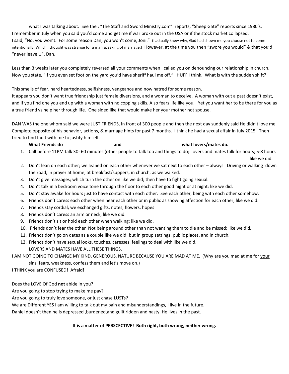what I was talking about. See the : "The Staff and Sword Ministry.com" reports, "Sheep Gate" reports since 1980's. I remember in July when you said you'd come and get me if war broke out in the USA or if the stock market collapsed. I said, "No, you won't. For some reason Dan, you won't come, Joni." (I actually knew why, God had shown me you choose not to come intentionally. Which I thought was strange for a man speaking of marriage.) However, at the time you then "swore you would" & that you'd "never leave U", Dan.

Less than 3 weeks later you completely reversed all your comments when I called you on denouncing our relationship in church. Now you state, "If you even set foot on the yard you'd have sheriff haul me off." HUFF I think. What is with the sudden shift?

This smells of fear, hard heartedness, selfishness, vengeance and now hatred for some reason.

It appears you don't want true friendship just female diversions, and a woman to deceive. A woman with out a past doesn't exist, and if you find one you end up with a woman with no copping skills. Also fears life like you. Yet you want her to be there for you as a true friend vs help her through life. One sided like that would make her your mother not spouse.

DAN WAS the one whom said we were JUST FRIENDS, in front of 300 people and then the next day suddenly said He didn't love me. Complete opposite of his behavior, actions, & marriage hints for past 7 months. I think he had a sexual affair in July 2015. Then tried to find fault with me to justify himself.

- **What Friends do and what lovers/mates do.**
- 1. Call before 11PM talk 30- 60 minutes (other people to talk too and things to do; lovers and mates talk for hours; 5-8 hours

like we did.

- 2. Don't lean on each other; we leaned on each other whenever we sat next to each other always. Driving or walking down the road, in prayer at home, at breakfast/suppers, in church, as we walked.
- 3. Don't give massages; which turn the other on like we did; then have to fight going sexual.
- 4. Don't talk in a bedroom voice tone through the floor to each other good night or at night; like we did.
- 5. Don't stay awake for hours just to have contact with each other. See each other, being with each other somehow.
- 6. Friends don't caress each other when near each other or in public as showing affection for each other; like we did.
- 7. Friends stay cordial; we exchanged gifts, notes, flowers, hopes
- 8. Friends don't caress an arm or neck; like we did.
- 9. Friends don't sit or hold each other when walking; like we did.
- 10. Friends don't fear the other Not being around other than not wanting them to die and be missed; like we did.
- 11. Friends don't go on dates as a couple like we did; but in group settings, public places, and in church.
- 12. Friends don't have sexual looks, touches, caresses, feelings to deal with like we did.

#### LOVERS AND MATES HAVE ALL THESE THINGS.

I AM NOT GOING TO CHANGE MY KIND, GENEROUS, NATURE BECAUSE YOU ARE MAD AT ME. (Why are you mad at me for your sins, fears, weakness, confess them and let's move on.)

I THINK you are CONFUSED! Afraid!

Does the LOVE Of God **not** abide in you?

Are you going to stop trying to make me pay?

Are you going to truly love someone, or just chase LUSTs?

We are Different YES I am willing to talk out my pain and misunderstandings, I live in the future.

Daniel doesn't then he is depressed ,burdened,and guilt ridden and nasty. He lives in the past.

#### **It is a matter of PERSCECTIVE! Both right, both wrong, neither wrong.**